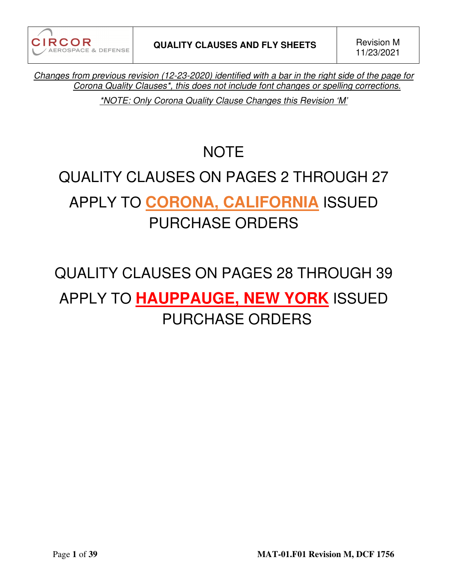**CIRCOR** AEROSPACE & DEFENSE

*Changes from previous revision (12-23-2020) identified with a bar in the right side of the page for Corona Quality Clauses\*, this does not include font changes or spelling corrections.* 

*\*NOTE: Only Corona Quality Clause Changes this Revision 'M'* 

# **NOTE**

# QUALITY CLAUSES ON PAGES 2 THROUGH 27 APPLY TO **CORONA, CALIFORNIA** ISSUED PURCHASE ORDERS

# QUALITY CLAUSES ON PAGES 28 THROUGH 39 APPLY TO **HAUPPAUGE, NEW YORK** ISSUED PURCHASE ORDERS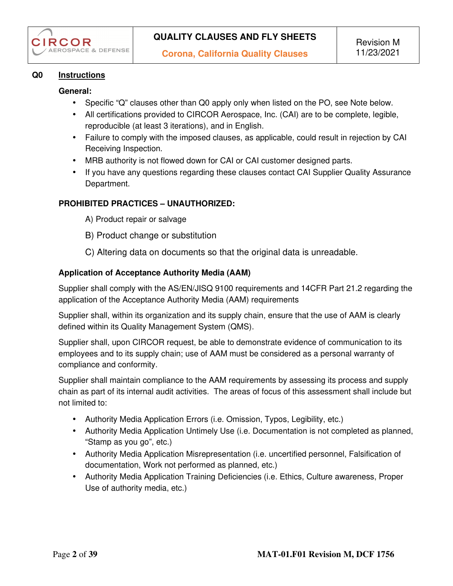## **Q0 Instructions**

### **General:**

- Specific "Q" clauses other than Q0 apply only when listed on the PO, see Note below.
- All certifications provided to CIRCOR Aerospace, Inc. (CAI) are to be complete, legible, reproducible (at least 3 iterations), and in English.
- Failure to comply with the imposed clauses, as applicable, could result in rejection by CAI Receiving Inspection.
- MRB authority is not flowed down for CAI or CAI customer designed parts.
- If you have any questions regarding these clauses contact CAI Supplier Quality Assurance Department.

## **PROHIBITED PRACTICES – UNAUTHORIZED:**

- A) Product repair or salvage
- B) Product change or substitution
- C) Altering data on documents so that the original data is unreadable.

#### **Application of Acceptance Authority Media (AAM)**

Supplier shall comply with the AS/EN/JISQ 9100 requirements and 14CFR Part 21.2 regarding the application of the Acceptance Authority Media (AAM) requirements

Supplier shall, within its organization and its supply chain, ensure that the use of AAM is clearly defined within its Quality Management System (QMS).

Supplier shall, upon CIRCOR request, be able to demonstrate evidence of communication to its employees and to its supply chain; use of AAM must be considered as a personal warranty of compliance and conformity.

Supplier shall maintain compliance to the AAM requirements by assessing its process and supply chain as part of its internal audit activities. The areas of focus of this assessment shall include but not limited to:

- Authority Media Application Errors (i.e. Omission, Typos, Legibility, etc.)
- Authority Media Application Untimely Use (i.e. Documentation is not completed as planned, "Stamp as you go", etc.)
- Authority Media Application Misrepresentation (i.e. uncertified personnel, Falsification of documentation, Work not performed as planned, etc.)
- Authority Media Application Training Deficiencies (i.e. Ethics, Culture awareness, Proper Use of authority media, etc.)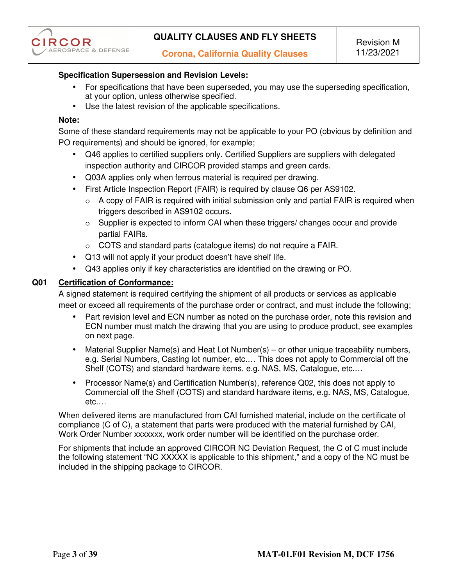# **Specification Supersession and Revision Levels:**

- For specifications that have been superseded, you may use the superseding specification, at your option, unless otherwise specified.
- Use the latest revision of the applicable specifications.

## **Note:**

Some of these standard requirements may not be applicable to your PO (obvious by definition and PO requirements) and should be ignored, for example;

- Q46 applies to certified suppliers only. Certified Suppliers are suppliers with delegated inspection authority and CIRCOR provided stamps and green cards.
- Q03A applies only when ferrous material is required per drawing.
- First Article Inspection Report (FAIR) is required by clause Q6 per AS9102.
	- $\circ$  A copy of FAIR is required with initial submission only and partial FAIR is required when triggers described in AS9102 occurs.
	- o Supplier is expected to inform CAI when these triggers/ changes occur and provide partial FAIRs.
	- o COTS and standard parts (catalogue items) do not require a FAIR.
- Q13 will not apply if your product doesn't have shelf life.
- Q43 applies only if key characteristics are identified on the drawing or PO.

# **Q01 Certification of Conformance:**

A signed statement is required certifying the shipment of all products or services as applicable meet or exceed all requirements of the purchase order or contract, and must include the following;

- Part revision level and ECN number as noted on the purchase order, note this revision and ECN number must match the drawing that you are using to produce product, see examples on next page.
- Material Supplier Name(s) and Heat Lot Number(s) or other unique traceability numbers, e.g. Serial Numbers, Casting lot number, etc.… This does not apply to Commercial off the Shelf (COTS) and standard hardware items, e.g. NAS, MS, Catalogue, etc.…
- Processor Name(s) and Certification Number(s), reference Q02, this does not apply to Commercial off the Shelf (COTS) and standard hardware items, e.g. NAS, MS, Catalogue, etc.…

When delivered items are manufactured from CAI furnished material, include on the certificate of compliance (C of C), a statement that parts were produced with the material furnished by CAI, Work Order Number xxxxxxx, work order number will be identified on the purchase order.

For shipments that include an approved CIRCOR NC Deviation Request, the C of C must include the following statement "NC XXXXX is applicable to this shipment," and a copy of the NC must be included in the shipping package to CIRCOR.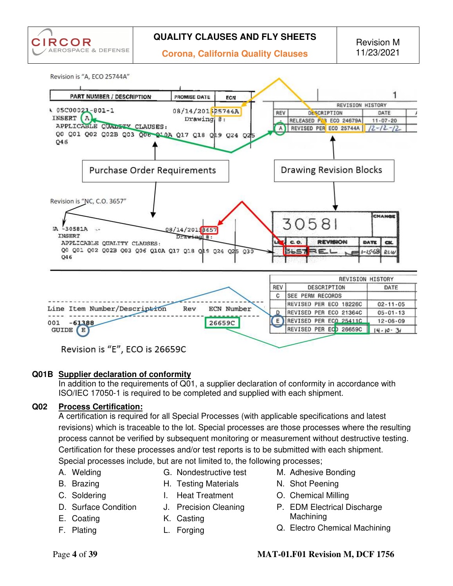



# Revision is "E", ECO is 26659C

#### **Q01B Supplier declaration of conformity**

In addition to the requirements of Q01, a supplier declaration of conformity in accordance with ISO/IEC 17050-1 is required to be completed and supplied with each shipment.

# **Q02 Process Certification:**

A certification is required for all Special Processes (with applicable specifications and latest revisions) which is traceable to the lot. Special processes are those processes where the resulting process cannot be verified by subsequent monitoring or measurement without destructive testing. Certification for these processes and/or test reports is to be submitted with each shipment. Special processes include, but are not limited to, the following processes;

A. Welding

G. Nondestructive test

B. Brazing

- H. Testing Materials
- C. Soldering D. Surface Condition
- I. Heat Treatment J. Precision Cleaning
- 
- E. Coating
- F. Plating
- K. Casting
- L. Forging
- M. Adhesive Bonding
- N. Shot Peening
- O. Chemical Milling
- P. EDM Electrical Discharge Machining
- Q. Electro Chemical Machining

# Page **4** of **39 MAT-01.F01 Revision M, DCF 1756**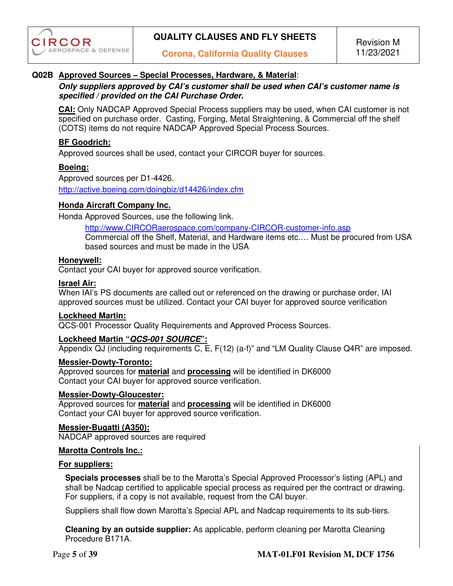## **Q02B Approved Sources – Special Processes, Hardware, & Material**:

#### *Only suppliers approved by CAI's customer shall be used when CAI's customer name is specified / provided on the CAI Purchase Order.*

**CAI:** Only NADCAP Approved Special Process suppliers may be used, when CAI customer is not specified on purchase order. Casting, Forging, Metal Straightening, & Commercial off the shelf (COTS) items do not require NADCAP Approved Special Process Sources.

#### **BF Goodrich:**

Approved sources shall be used, contact your CIRCOR buyer for sources.

#### **Boeing:**

Approved sources per D1-4426. http://active.boeing.com/doingbiz/d14426/index.cfm

#### **Honda Aircraft Company Inc.**

Honda Approved Sources, use the following link.

http://www.CIRCORaerospace.com/company-CIRCOR-customer-info.asp

Commercial off the Shelf, Material, and Hardware items etc.… Must be procured from USA based sources and must be made in the USA

#### **Honeywell:**

Contact your CAI buyer for approved source verification.

#### **Israel Air:**

When IAI's PS documents are called out or referenced on the drawing or purchase order, IAI approved sources must be utilized. Contact your CAI buyer for approved source verification

#### **Lockheed Martin:**

QCS-001 Processor Quality Requirements and Approved Process Sources.

#### **Lockheed Martin "***QCS-001 SOURCE***":**

Appendix QJ (including requirements  $\overline{C}$ ,  $\overline{E}$ ,  $F(12)$  (a-f)" and "LM Quality Clause Q4R" are imposed.

#### **Messier-Dowty-Toronto:**

Approved sources for **material** and **processing** will be identified in DK6000 Contact your CAI buyer for approved source verification.

#### **Messier-Dowty-Gloucester:**

Approved sources for **material** and **processing** will be identified in DK6000 Contact your CAI buyer for approved source verification.

#### **Messier-Bugatti (A350):**

NADCAP approved sources are required

#### **Marotta Controls Inc.:**

#### **For suppliers:**

**Specials processes** shall be to the Marotta's Special Approved Processor's listing (APL) and shall be Nadcap certified to applicable special process as required per the contract or drawing. For suppliers, if a copy is not available, request from the CAI buyer.

Suppliers shall flow down Marotta's Special APL and Nadcap requirements to its sub-tiers.

**Cleaning by an outside supplier:** As applicable, perform cleaning per Marotta Cleaning Procedure B171A.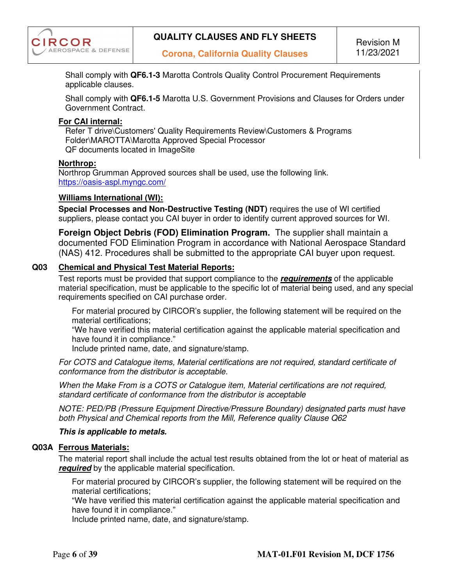

Shall comply with **QF6.1-3** Marotta Controls Quality Control Procurement Requirements applicable clauses.

Shall comply with **QF6.1-5** Marotta U.S. Government Provisions and Clauses for Orders under Government Contract.

#### **For CAI internal:**

Refer T drive\Customers' Quality Requirements Review\Customers & Programs Folder\MAROTTA\Marotta Approved Special Processor QF documents located in ImageSite

#### **Northrop:**

Northrop Grumman Approved sources shall be used, use the following link. https://oasis-aspl.myngc.com/

#### **Williams International (WI):**

**Special Processes and Non-Destructive Testing (NDT)** requires the use of WI certified suppliers, please contact you CAI buyer in order to identify current approved sources for WI.

**Foreign Object Debris (FOD) Elimination Program.** The supplier shall maintain a documented FOD Elimination Program in accordance with National Aerospace Standard (NAS) 412. Procedures shall be submitted to the appropriate CAI buyer upon request.

#### **Q03 Chemical and Physical Test Material Reports:**

Test reports must be provided that support compliance to the *requirements* of the applicable material specification, must be applicable to the specific lot of material being used, and any special requirements specified on CAI purchase order.

For material procured by CIRCOR's supplier, the following statement will be required on the material certifications;

"We have verified this material certification against the applicable material specification and have found it in compliance."

Include printed name, date, and signature/stamp.

*For COTS and Catalogue items, Material certifications are not required, standard certificate of conformance from the distributor is acceptable.* 

*When the Make From is a COTS or Catalogue item, Material certifications are not required, standard certificate of conformance from the distributor is acceptable* 

*NOTE: PED/PB (Pressure Equipment Directive/Pressure Boundary) designated parts must have both Physical and Chemical reports from the Mill, Reference quality Clause Q62* 

#### *This is applicable to metals.*

#### **Q03A Ferrous Materials:**

The material report shall include the actual test results obtained from the lot or heat of material as *required* by the applicable material specification.

For material procured by CIRCOR's supplier, the following statement will be required on the material certifications;

"We have verified this material certification against the applicable material specification and have found it in compliance."

Include printed name, date, and signature/stamp.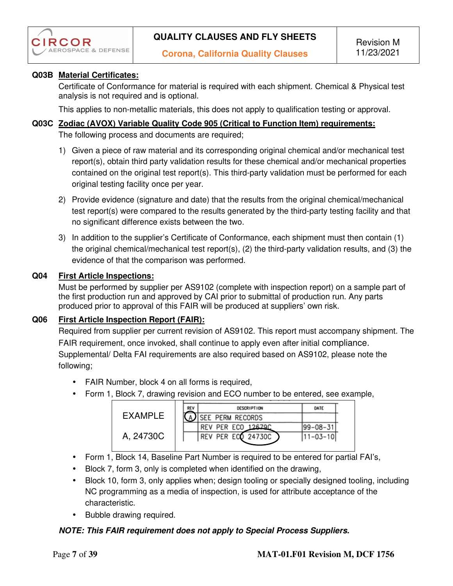

## **Q03B Material Certificates:**

Certificate of Conformance for material is required with each shipment. Chemical & Physical test analysis is not required and is optional.

This applies to non-metallic materials, this does not apply to qualification testing or approval.

#### **Q03C Zodiac (AVOX) Variable Quality Code 905 (Critical to Function Item) requirements:**

The following process and documents are required;

- 1) Given a piece of raw material and its corresponding original chemical and/or mechanical test report(s), obtain third party validation results for these chemical and/or mechanical properties contained on the original test report(s). This third-party validation must be performed for each original testing facility once per year.
- 2) Provide evidence (signature and date) that the results from the original chemical/mechanical test report(s) were compared to the results generated by the third-party testing facility and that no significant difference exists between the two.
- 3) In addition to the supplier's Certificate of Conformance, each shipment must then contain (1) the original chemical/mechanical test report(s), (2) the third-party validation results, and (3) the evidence of that the comparison was performed.

#### **Q04 First Article Inspections:**

Must be performed by supplier per AS9102 (complete with inspection report) on a sample part of the first production run and approved by CAI prior to submittal of production run. Any parts produced prior to approval of this FAIR will be produced at suppliers' own risk.

#### **Q06 First Article Inspection Report (FAIR):**

Required from supplier per current revision of AS9102. This report must accompany shipment. The FAIR requirement, once invoked, shall continue to apply even after initial compliance. Supplemental/ Delta FAI requirements are also required based on AS9102, please note the following;

- FAIR Number, block 4 on all forms is required,
- Form 1, Block 7, drawing revision and ECO number to be entered, see example,

|           | REV | <b>DESCRIPTION</b>    | DATE             |
|-----------|-----|-----------------------|------------------|
| EXAMPLE   |     | SEE PERM RECORDS      |                  |
|           |     | 126790<br>REV PER ECO | $199 - 08 - 31'$ |
| A, 24730C |     | REV PER ECO 24730C    | $11 - 03 - 10$   |
|           |     |                       |                  |

- Form 1, Block 14, Baseline Part Number is required to be entered for partial FAI's,
- Block 7, form 3, only is completed when identified on the drawing,
- Block 10, form 3, only applies when; design tooling or specially designed tooling, including NC programming as a media of inspection, is used for attribute acceptance of the characteristic.
- Bubble drawing required.

#### *NOTE: This FAIR requirement does not apply to Special Process Suppliers.*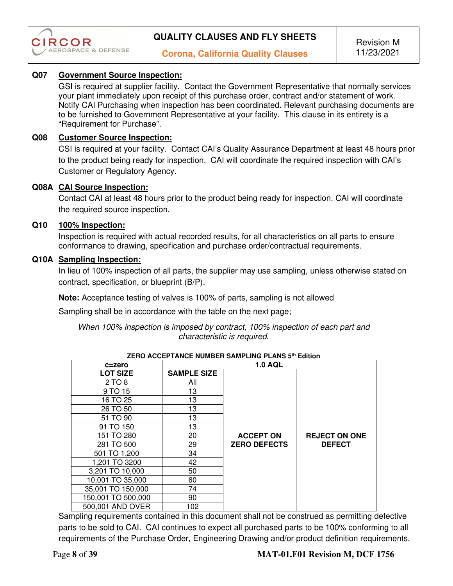

### **Q07 Government Source Inspection:**

GSI is required at supplier facility. Contact the Government Representative that normally services your plant immediately upon receipt of this purchase order, contract and/or statement of work. Notify CAI Purchasing when inspection has been coordinated. Relevant purchasing documents are to be furnished to Government Representative at your facility. This clause in its entirety is a "Requirement for Purchase".

#### **Q08 Customer Source Inspection:**

CSI is required at your facility. Contact CAI's Quality Assurance Department at least 48 hours prior to the product being ready for inspection. CAI will coordinate the required inspection with CAI's Customer or Regulatory Agency.

#### **Q08A CAI Source Inspection:**

Contact CAI at least 48 hours prior to the product being ready for inspection. CAI will coordinate the required source inspection.

#### **Q10 100% Inspection:**

Inspection is required with actual recorded results, for all characteristics on all parts to ensure conformance to drawing, specification and purchase order/contractual requirements.

#### **Q10A Sampling Inspection:**

In lieu of 100% inspection of all parts, the supplier may use sampling, unless otherwise stated on contract, specification, or blueprint (B/P).

**Note:** Acceptance testing of valves is 100% of parts, sampling is not allowed

Sampling shall be in accordance with the table on the next page;

#### *When 100% inspection is imposed by contract, 100% inspection of each part and characteristic is required.*

| ZENU AUUEF I ANUE NUMBEN SAMFLING FLANS 3" EGILIOII |                    |                     |                      |  |  |
|-----------------------------------------------------|--------------------|---------------------|----------------------|--|--|
| c=zero                                              |                    | <b>1.0 AQL</b>      |                      |  |  |
| <b>LOT SIZE</b>                                     | <b>SAMPLE SIZE</b> |                     |                      |  |  |
| 2 TO 8                                              | All                |                     |                      |  |  |
| 9 TO 15                                             | 13                 |                     |                      |  |  |
| 16 TO 25                                            | 13                 |                     |                      |  |  |
| 26 TO 50                                            | 13                 |                     |                      |  |  |
| 51 TO 90                                            | 13                 |                     |                      |  |  |
| 91 TO 150                                           | 13                 |                     |                      |  |  |
| 151 TO 280                                          | 20                 | <b>ACCEPT ON</b>    | <b>REJECT ON ONE</b> |  |  |
| 281 TO 500                                          | 29                 | <b>ZERO DEFECTS</b> | <b>DEFECT</b>        |  |  |
| 501 TO 1,200                                        | 34                 |                     |                      |  |  |
| 1,201 TO 3200                                       | 42                 |                     |                      |  |  |
| 3,201 TO 10,000                                     | 50                 |                     |                      |  |  |
| 10,001 TO 35,000                                    | 60                 |                     |                      |  |  |
| 35,001 TO 150,000                                   | 74                 |                     |                      |  |  |
| 150,001 TO 500,000                                  | 90                 |                     |                      |  |  |
| 500,001 AND OVER                                    | 102                |                     |                      |  |  |

**ZERO ACCEPTANCE NUMBER SAMPLING PLANS 5th Edition**

 Sampling requirements contained in this document shall not be construed as permitting defective parts to be sold to CAI. CAI continues to expect all purchased parts to be 100% conforming to all requirements of the Purchase Order, Engineering Drawing and/or product definition requirements.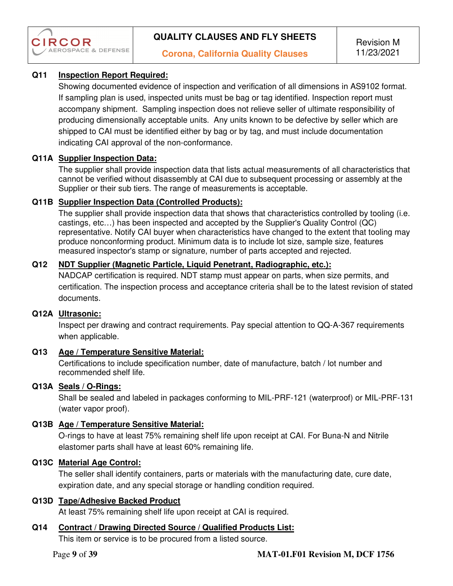

# **Q11 Inspection Report Required:**

Showing documented evidence of inspection and verification of all dimensions in AS9102 format. If sampling plan is used, inspected units must be bag or tag identified. Inspection report must accompany shipment. Sampling inspection does not relieve seller of ultimate responsibility of producing dimensionally acceptable units. Any units known to be defective by seller which are shipped to CAI must be identified either by bag or by tag, and must include documentation indicating CAI approval of the non-conformance.

# **Q11A Supplier Inspection Data:**

The supplier shall provide inspection data that lists actual measurements of all characteristics that cannot be verified without disassembly at CAI due to subsequent processing or assembly at the Supplier or their sub tiers. The range of measurements is acceptable.

# **Q11B Supplier Inspection Data (Controlled Products):**

The supplier shall provide inspection data that shows that characteristics controlled by tooling (i.e. castings, etc…) has been inspected and accepted by the Supplier's Quality Control (QC) representative. Notify CAI buyer when characteristics have changed to the extent that tooling may produce nonconforming product. Minimum data is to include lot size, sample size, features measured inspector's stamp or signature, number of parts accepted and rejected.

# **Q12 NDT Supplier (Magnetic Particle, Liquid Penetrant, Radiographic, etc.):**

NADCAP certification is required. NDT stamp must appear on parts, when size permits, and certification. The inspection process and acceptance criteria shall be to the latest revision of stated documents.

# **Q12A Ultrasonic:**

Inspect per drawing and contract requirements. Pay special attention to QQ-A-367 requirements when applicable.

# **Q13 Age / Temperature Sensitive Material:**

Certifications to include specification number, date of manufacture, batch / lot number and recommended shelf life.

# **Q13A Seals / O-Rings:**

Shall be sealed and labeled in packages conforming to MIL-PRF-121 (waterproof) or MIL-PRF-131 (water vapor proof).

# **Q13B Age / Temperature Sensitive Material:**

O-rings to have at least 75% remaining shelf life upon receipt at CAI. For Buna-N and Nitrile elastomer parts shall have at least 60% remaining life.

# **Q13C Material Age Control:**

The seller shall identify containers, parts or materials with the manufacturing date, cure date, expiration date, and any special storage or handling condition required.

# **Q13D Tape/Adhesive Backed Product**

At least 75% remaining shelf life upon receipt at CAI is required.

# **Q14 Contract / Drawing Directed Source / Qualified Products List:**

This item or service is to be procured from a listed source.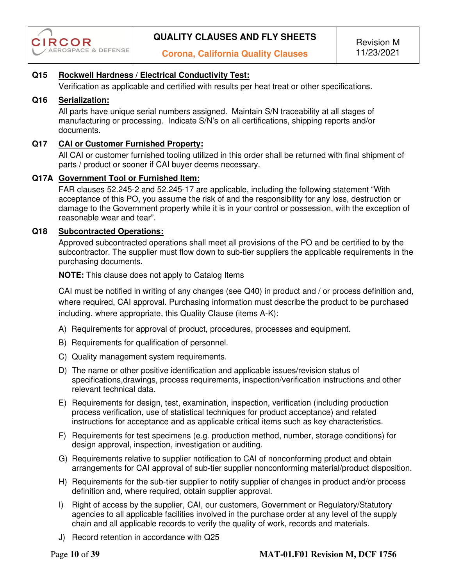

## **Q15 Rockwell Hardness / Electrical Conductivity Test:**

Verification as applicable and certified with results per heat treat or other specifications.

#### **Q16 Serialization:**

All parts have unique serial numbers assigned. Maintain S/N traceability at all stages of manufacturing or processing. Indicate S/N's on all certifications, shipping reports and/or documents.

#### **Q17 CAI or Customer Furnished Property:**

All CAI or customer furnished tooling utilized in this order shall be returned with final shipment of parts / product or sooner if CAI buyer deems necessary.

#### **Q17A Government Tool or Furnished Item:**

FAR clauses 52.245-2 and 52.245-17 are applicable, including the following statement "With acceptance of this PO, you assume the risk of and the responsibility for any loss, destruction or damage to the Government property while it is in your control or possession, with the exception of reasonable wear and tear".

#### **Q18 Subcontracted Operations:**

Approved subcontracted operations shall meet all provisions of the PO and be certified to by the subcontractor. The supplier must flow down to sub-tier suppliers the applicable requirements in the purchasing documents.

 **NOTE:** This clause does not apply to Catalog Items

CAI must be notified in writing of any changes (see Q40) in product and / or process definition and, where required, CAI approval. Purchasing information must describe the product to be purchased including, where appropriate, this Quality Clause (items A-K):

- A) Requirements for approval of product, procedures, processes and equipment.
- B) Requirements for qualification of personnel.
- C) Quality management system requirements.
- D) The name or other positive identification and applicable issues/revision status of specifications,drawings, process requirements, inspection/verification instructions and other relevant technical data.
- E) Requirements for design, test, examination, inspection, verification (including production process verification, use of statistical techniques for product acceptance) and related instructions for acceptance and as applicable critical items such as key characteristics.
- F) Requirements for test specimens (e.g. production method, number, storage conditions) for design approval, inspection, investigation or auditing.
- G) Requirements relative to supplier notification to CAI of nonconforming product and obtain arrangements for CAI approval of sub-tier supplier nonconforming material/product disposition.
- H) Requirements for the sub-tier supplier to notify supplier of changes in product and/or process definition and, where required, obtain supplier approval.
- I) Right of access by the supplier, CAI, our customers, Government or Regulatory/Statutory agencies to all applicable facilities involved in the purchase order at any level of the supply chain and all applicable records to verify the quality of work, records and materials.
- J) Record retention in accordance with Q25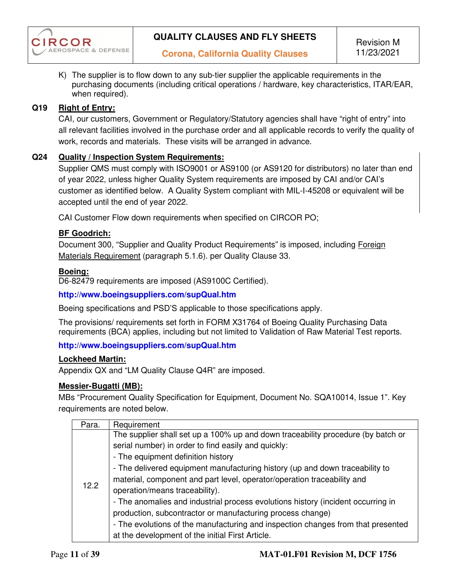

K) The supplier is to flow down to any sub-tier supplier the applicable requirements in the purchasing documents (including critical operations / hardware, key characteristics, ITAR/EAR, when required).

## **Q19 Right of Entry:**

CAI, our customers, Government or Regulatory/Statutory agencies shall have "right of entry" into all relevant facilities involved in the purchase order and all applicable records to verify the quality of work, records and materials. These visits will be arranged in advance.

#### **Q24 Quality / Inspection System Requirements:**

Supplier QMS must comply with ISO9001 or AS9100 (or AS9120 for distributors) no later than end of year 2022, unless higher Quality System requirements are imposed by CAI and/or CAI's customer as identified below. A Quality System compliant with MIL-I-45208 or equivalent will be accepted until the end of year 2022.

CAI Customer Flow down requirements when specified on CIRCOR PO;

#### **BF Goodrich:**

Document 300, "Supplier and Quality Product Requirements" is imposed, including Foreign Materials Requirement (paragraph 5.1.6). per Quality Clause 33.

#### **Boeing:**

D6-82479 requirements are imposed (AS9100C Certified).

#### **http://www.boeingsuppliers.com/supQual.htm**

Boeing specifications and PSD'S applicable to those specifications apply.

The provisions/ requirements set forth in FORM X31764 of Boeing Quality Purchasing Data requirements (BCA) applies, including but not limited to Validation of Raw Material Test reports.

#### **http://www.boeingsuppliers.com/supQual.htm**

#### **Lockheed Martin:**

Appendix QX and "LM Quality Clause Q4R" are imposed.

#### **Messier-Bugatti (MB):**

MBs "Procurement Quality Specification for Equipment, Document No. SQA10014, Issue 1". Key requirements are noted below.

| Para. | Requirement                                                                      |
|-------|----------------------------------------------------------------------------------|
|       | The supplier shall set up a 100% up and down traceability procedure (by batch or |
|       | serial number) in order to find easily and quickly:                              |
|       | - The equipment definition history                                               |
|       | - The delivered equipment manufacturing history (up and down traceability to     |
|       | material, component and part level, operator/operation traceability and          |
| 12.2  | operation/means traceability).                                                   |
|       | - The anomalies and industrial process evolutions history (incident occurring in |
|       | production, subcontractor or manufacturing process change)                       |
|       | - The evolutions of the manufacturing and inspection changes from that presented |
|       | at the development of the initial First Article.                                 |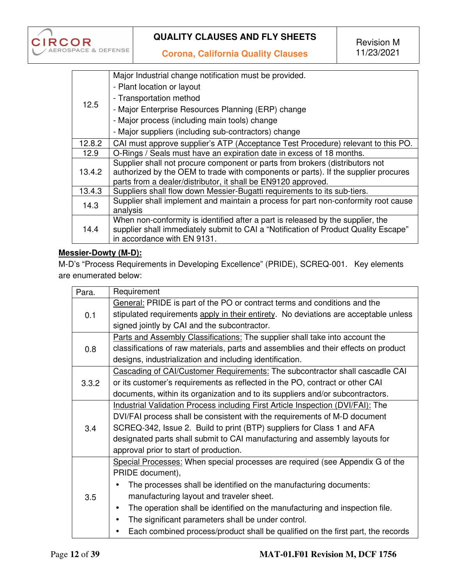

**Corona, California Quality Clauses** 

|        | Major Industrial change notification must be provided.                              |
|--------|-------------------------------------------------------------------------------------|
| 12.5   | - Plant location or layout                                                          |
|        | - Transportation method                                                             |
|        | - Major Enterprise Resources Planning (ERP) change                                  |
|        | - Major process (including main tools) change                                       |
|        | - Major suppliers (including sub-contractors) change                                |
| 12.8.2 | CAI must approve supplier's ATP (Acceptance Test Procedure) relevant to this PO.    |
| 12.9   | O-Rings / Seals must have an expiration date in excess of 18 months.                |
|        | Supplier shall not procure component or parts from brokers (distributors not        |
| 13.4.2 | authorized by the OEM to trade with components or parts). If the supplier procures  |
|        | parts from a dealer/distributor, it shall be EN9120 approved.                       |
| 13.4.3 | Suppliers shall flow down Messier-Bugatti requirements to its sub-tiers.            |
| 14.3   | Supplier shall implement and maintain a process for part non-conformity root cause  |
|        | analysis                                                                            |
| 14.4   | When non-conformity is identified after a part is released by the supplier, the     |
|        | supplier shall immediately submit to CAI a "Notification of Product Quality Escape" |
|        | in accordance with EN 9131.                                                         |

# **Messier-Dowty (M-D):**

M-D's "Process Requirements in Developing Excellence" (PRIDE), SCREQ-001. Key elements are enumerated below:

| Para. | Requirement                                                                              |  |  |
|-------|------------------------------------------------------------------------------------------|--|--|
|       | General: PRIDE is part of the PO or contract terms and conditions and the                |  |  |
| 0.1   | stipulated requirements apply in their entirety. No deviations are acceptable unless     |  |  |
|       | signed jointly by CAI and the subcontractor.                                             |  |  |
|       | Parts and Assembly Classifications: The supplier shall take into account the             |  |  |
| 0.8   | classifications of raw materials, parts and assemblies and their effects on product      |  |  |
|       | designs, industrialization and including identification.                                 |  |  |
|       | Cascading of CAI/Customer Requirements: The subcontractor shall cascadle CAI             |  |  |
| 3.3.2 | or its customer's requirements as reflected in the PO, contract or other CAI             |  |  |
|       | documents, within its organization and to its suppliers and/or subcontractors.           |  |  |
|       | <b>Industrial Validation Process including First Article Inspection (DVI/FAI): The</b>   |  |  |
|       | DVI/FAI process shall be consistent with the requirements of M-D document                |  |  |
| 3.4   | SCREQ-342, Issue 2. Build to print (BTP) suppliers for Class 1 and AFA                   |  |  |
|       | designated parts shall submit to CAI manufacturing and assembly layouts for              |  |  |
|       | approval prior to start of production.                                                   |  |  |
|       | Special Processes: When special processes are required (see Appendix G of the            |  |  |
|       | PRIDE document),                                                                         |  |  |
|       | The processes shall be identified on the manufacturing documents:<br>$\bullet$           |  |  |
| 3.5   | manufacturing layout and traveler sheet.                                                 |  |  |
|       | The operation shall be identified on the manufacturing and inspection file.<br>$\bullet$ |  |  |
|       | The significant parameters shall be under control.                                       |  |  |
|       | Each combined process/product shall be qualified on the first part, the records          |  |  |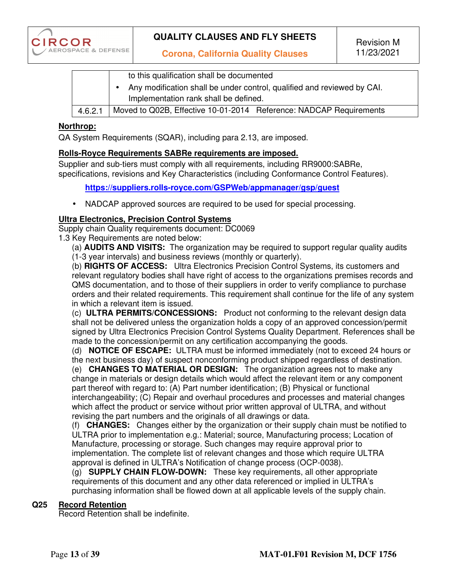

**Corona, California Quality Clauses** 

|         | to this qualification shall be documented                               |  |  |  |
|---------|-------------------------------------------------------------------------|--|--|--|
|         | Any modification shall be under control, qualified and reviewed by CAI. |  |  |  |
|         | Implementation rank shall be defined.                                   |  |  |  |
| 4.6.2.1 | Moved to Q02B, Effective 10-01-2014 Reference: NADCAP Requirements      |  |  |  |

#### **Northrop:**

QA System Requirements (SQAR), including para 2.13, are imposed.

#### **Rolls-Royce Requirements SABRe requirements are imposed.**

Supplier and sub-tiers must comply with all requirements, including RR9000:SABRe, specifications, revisions and Key Characteristics (including Conformance Control Features).

 **https://suppliers.rolls-royce.com/GSPWeb/appmanager/gsp/guest**

• NADCAP approved sources are required to be used for special processing.

#### **Ultra Electronics, Precision Control Systems**

Supply chain Quality requirements document: DC0069

1.3 Key Requirements are noted below:

(a) **AUDITS AND VISITS:** The organization may be required to support regular quality audits (1-3 year intervals) and business reviews (monthly or quarterly).

(b) **RIGHTS OF ACCESS:** Ultra Electronics Precision Control Systems, its customers and relevant regulatory bodies shall have right of access to the organizations premises records and QMS documentation, and to those of their suppliers in order to verify compliance to purchase orders and their related requirements. This requirement shall continue for the life of any system in which a relevant item is issued.

(c) **ULTRA PERMITS/CONCESSIONS:** Product not conforming to the relevant design data shall not be delivered unless the organization holds a copy of an approved concession/permit signed by Ultra Electronics Precision Control Systems Quality Department. References shall be made to the concession/permit on any certification accompanying the goods.

(d) **NOTICE OF ESCAPE:** ULTRA must be informed immediately (not to exceed 24 hours or the next business day) of suspect nonconforming product shipped regardless of destination.

(e) **CHANGES TO MATERIAL OR DESIGN:** The organization agrees not to make any change in materials or design details which would affect the relevant item or any component part thereof with regard to: (A) Part number identification; (B) Physical or functional interchangeability; (C) Repair and overhaul procedures and processes and material changes which affect the product or service without prior written approval of ULTRA, and without revising the part numbers and the originals of all drawings or data.

(f) **CHANGES:** Changes either by the organization or their supply chain must be notified to ULTRA prior to implementation e.g.: Material; source, Manufacturing process; Location of Manufacture, processing or storage. Such changes may require approval prior to implementation. The complete list of relevant changes and those which require ULTRA approval is defined in ULTRA's Notification of change process (OCP-0038).

(g) **SUPPLY CHAIN FLOW-DOWN:** These key requirements, all other appropriate requirements of this document and any other data referenced or implied in ULTRA's purchasing information shall be flowed down at all applicable levels of the supply chain.

#### **Q25 Record Retention**

Record Retention shall be indefinite.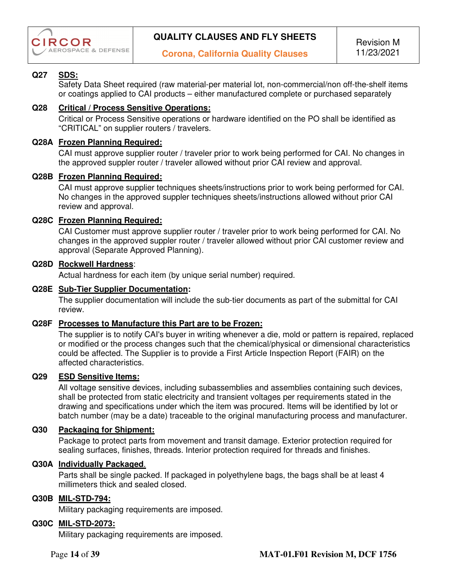

# **Q27 SDS:**

Safety Data Sheet required (raw material-per material lot, non-commercial/non off-the-shelf items or coatings applied to CAI products – either manufactured complete or purchased separately

#### **Q28 Critical / Process Sensitive Operations:**

Critical or Process Sensitive operations or hardware identified on the PO shall be identified as "CRITICAL" on supplier routers / travelers.

#### **Q28A Frozen Planning Required:**

CAI must approve supplier router / traveler prior to work being performed for CAI. No changes in the approved suppler router / traveler allowed without prior CAI review and approval.

#### **Q28B Frozen Planning Required:**

CAI must approve supplier techniques sheets/instructions prior to work being performed for CAI. No changes in the approved suppler techniques sheets/instructions allowed without prior CAI review and approval.

#### **Q28C Frozen Planning Required:**

CAI Customer must approve supplier router / traveler prior to work being performed for CAI. No changes in the approved suppler router / traveler allowed without prior CAI customer review and approval (Separate Approved Planning).

#### **Q28D Rockwell Hardness**:

Actual hardness for each item (by unique serial number) required.

#### **Q28E Sub-Tier Supplier Documentation:**

The supplier documentation will include the sub-tier documents as part of the submittal for CAI review.

#### **Q28F Processes to Manufacture this Part are to be Frozen:**

The supplier is to notify CAI's buyer in writing whenever a die, mold or pattern is repaired, replaced or modified or the process changes such that the chemical/physical or dimensional characteristics could be affected. The Supplier is to provide a First Article Inspection Report (FAIR) on the affected characteristics.

#### **Q29 ESD Sensitive Items:**

All voltage sensitive devices, including subassemblies and assemblies containing such devices, shall be protected from static electricity and transient voltages per requirements stated in the drawing and specifications under which the item was procured. Items will be identified by lot or batch number (may be a date) traceable to the original manufacturing process and manufacturer.

### **Q30 Packaging for Shipment:**

Package to protect parts from movement and transit damage. Exterior protection required for sealing surfaces, finishes, threads. Interior protection required for threads and finishes.

## **Q30A Individually Packaged**.

Parts shall be single packed. If packaged in polyethylene bags, the bags shall be at least 4 millimeters thick and sealed closed.

#### **Q30B MIL-STD-794:**

Military packaging requirements are imposed.

#### **Q30C MIL-STD-2073:**

Military packaging requirements are imposed.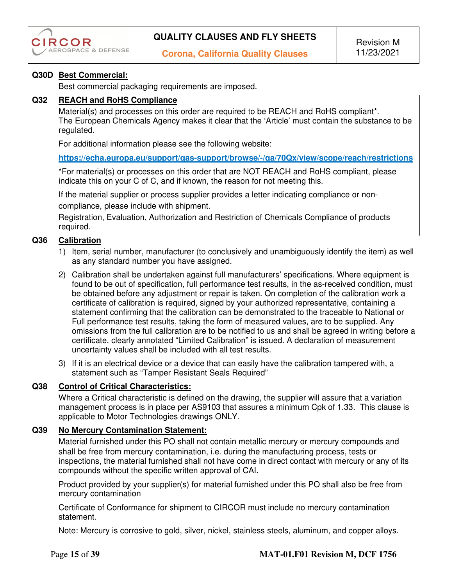

### **Q30D Best Commercial:**

Best commercial packaging requirements are imposed.

#### **Q32 REACH and RoHS Compliance**

Material(s) and processes on this order are required to be REACH and RoHS compliant\*. The European Chemicals Agency makes it clear that the 'Article' must contain the substance to be regulated.

For additional information please see the following website:

**https://echa.europa.eu/support/qas-support/browse/-/qa/70Qx/view/scope/reach/restrictions** 

\*For material(s) or processes on this order that are NOT REACH and RoHS compliant, please indicate this on your C of C, and if known, the reason for not meeting this.

If the material supplier or process supplier provides a letter indicating compliance or noncompliance, please include with shipment.

Registration, Evaluation, Authorization and Restriction of Chemicals Compliance of products required.

## **Q36 Calibration**

- 1) Item, serial number, manufacturer (to conclusively and unambiguously identify the item) as well as any standard number you have assigned.
- 2) Calibration shall be undertaken against full manufacturers' specifications. Where equipment is found to be out of specification, full performance test results, in the as-received condition, must be obtained before any adjustment or repair is taken. On completion of the calibration work a certificate of calibration is required, signed by your authorized representative, containing a statement confirming that the calibration can be demonstrated to the traceable to National or Full performance test results, taking the form of measured values, are to be supplied. Any omissions from the full calibration are to be notified to us and shall be agreed in writing before a certificate, clearly annotated "Limited Calibration" is issued. A declaration of measurement uncertainty values shall be included with all test results.
- 3) If it is an electrical device or a device that can easily have the calibration tampered with, a statement such as "Tamper Resistant Seals Required"

# **Q38 Control of Critical Characteristics:**

Where a Critical characteristic is defined on the drawing, the supplier will assure that a variation management process is in place per AS9103 that assures a minimum Cpk of 1.33. This clause is applicable to Motor Technologies drawings ONLY.

# **Q39 No Mercury Contamination Statement:**

Material furnished under this PO shall not contain metallic mercury or mercury compounds and shall be free from mercury contamination, i.e. during the manufacturing process, tests or inspections, the material furnished shall not have come in direct contact with mercury or any of its compounds without the specific written approval of CAI.

Product provided by your supplier(s) for material furnished under this PO shall also be free from mercury contamination

Certificate of Conformance for shipment to CIRCOR must include no mercury contamination statement.

Note: Mercury is corrosive to gold, silver, nickel, stainless steels, aluminum, and copper alloys.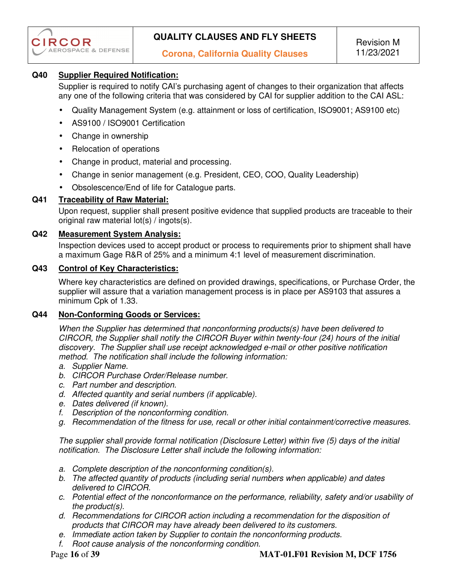

## **Q40 Supplier Required Notification:**

Supplier is required to notify CAI's purchasing agent of changes to their organization that affects any one of the following criteria that was considered by CAI for supplier addition to the CAI ASL:

- Quality Management System (e.g. attainment or loss of certification, ISO9001; AS9100 etc)
- AS9100 / ISO9001 Certification
- Change in ownership
- Relocation of operations
- Change in product, material and processing.
- Change in senior management (e.g. President, CEO, COO, Quality Leadership)
- Obsolescence/End of life for Catalogue parts.

#### **Q41 Traceability of Raw Material:**

Upon request, supplier shall present positive evidence that supplied products are traceable to their original raw material lot(s) / ingots(s).

#### **Q42 Measurement System Analysis:**

Inspection devices used to accept product or process to requirements prior to shipment shall have a maximum Gage R&R of 25% and a minimum 4:1 level of measurement discrimination.

#### **Q43 Control of Key Characteristics:**

Where key characteristics are defined on provided drawings, specifications, or Purchase Order, the supplier will assure that a variation management process is in place per AS9103 that assures a minimum Cpk of 1.33.

#### **Q44 Non-Conforming Goods or Services:**

*When the Supplier has determined that nonconforming products(s) have been delivered to CIRCOR, the Supplier shall notify the CIRCOR Buyer within twenty-four (24) hours of the initial discovery. The Supplier shall use receipt acknowledged e-mail or other positive notification method. The notification shall include the following information:* 

- *a. Supplier Name.*
- *b. CIRCOR Purchase Order/Release number.*
- *c. Part number and description.*
- *d. Affected quantity and serial numbers (if applicable).*
- *e. Dates delivered (if known).*
- *f. Description of the nonconforming condition.*
- *g. Recommendation of the fitness for use, recall or other initial containment/corrective measures.*

*The supplier shall provide formal notification (Disclosure Letter) within five (5) days of the initial notification. The Disclosure Letter shall include the following information:* 

- *a. Complete description of the nonconforming condition(s).*
- *b. The affected quantity of products (including serial numbers when applicable) and dates delivered to CIRCOR.*
- *c. Potential effect of the nonconformance on the performance, reliability, safety and/or usability of the product(s).*
- *d. Recommendations for CIRCOR action including a recommendation for the disposition of products that CIRCOR may have already been delivered to its customers.*
- *e. Immediate action taken by Supplier to contain the nonconforming products.*
- *f. Root cause analysis of the nonconforming condition.*

#### Page **16** of **39 MAT-01.F01 Revision M, DCF 1756**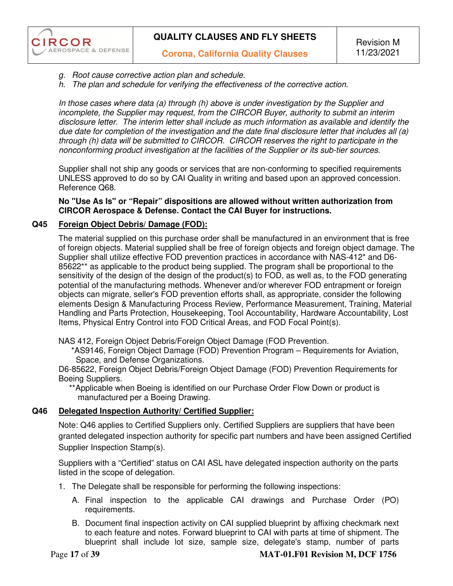- *g. Root cause corrective action plan and schedule.*
- *h. The plan and schedule for verifying the effectiveness of the corrective action.*

*In those cases where data (a) through (h) above is under investigation by the Supplier and incomplete, the Supplier may request, from the CIRCOR Buyer, authority to submit an interim disclosure letter. The interim letter shall include as much information as available and identify the due date for completion of the investigation and the date final disclosure letter that includes all (a) through (h) data will be submitted to CIRCOR. CIRCOR reserves the right to participate in the nonconforming product investigation at the facilities of the Supplier or its sub-tier sources.* 

Supplier shall not ship any goods or services that are non-conforming to specified requirements UNLESS approved to do so by CAI Quality in writing and based upon an approved concession. Reference Q68.

**No "Use As Is" or "Repair" dispositions are allowed without written authorization from CIRCOR Aerospace & Defense. Contact the CAI Buyer for instructions.** 

#### **Q45 Foreign Object Debris/ Damage (FOD):**

**CIRCOR** 

**AEROSPACE & DEFENSE** 

The material supplied on this purchase order shall be manufactured in an environment that is free of foreign objects. Material supplied shall be free of foreign objects and foreign object damage. The Supplier shall utilize effective FOD prevention practices in accordance with NAS-412\* and D6- 85622\*\* as applicable to the product being supplied. The program shall be proportional to the sensitivity of the design of the design of the product(s) to FOD, as well as, to the FOD generating potential of the manufacturing methods. Whenever and/or wherever FOD entrapment or foreign objects can migrate, seller's FOD prevention efforts shall, as appropriate, consider the following elements Design & Manufacturing Process Review, Performance Measurement, Training, Material Handling and Parts Protection, Housekeeping, Tool Accountability, Hardware Accountability, Lost Items, Physical Entry Control into FOD Critical Areas, and FOD Focal Point(s).

NAS 412, Foreign Object Debris/Foreign Object Damage (FOD Prevention.

 \*AS9146, Foreign Object Damage (FOD) Prevention Program – Requirements for Aviation, Space, and Defense Organizations.

D6-85622, Foreign Object Debris/Foreign Object Damage (FOD) Prevention Requirements for Boeing Suppliers.

 \*\*Applicable when Boeing is identified on our Purchase Order Flow Down or product is manufactured per a Boeing Drawing.

### **Q46 Delegated Inspection Authority/ Certified Supplier:**

Note: Q46 applies to Certified Suppliers only. Certified Suppliers are suppliers that have been granted delegated inspection authority for specific part numbers and have been assigned Certified Supplier Inspection Stamp(s).

Suppliers with a "Certified" status on CAI ASL have delegated inspection authority on the parts listed in the scope of delegation.

- 1. The Delegate shall be responsible for performing the following inspections:
	- A. Final inspection to the applicable CAI drawings and Purchase Order (PO) requirements.
	- B. Document final inspection activity on CAI supplied blueprint by affixing checkmark next to each feature and notes. Forward blueprint to CAI with parts at time of shipment. The blueprint shall include lot size, sample size, delegate's stamp, number of parts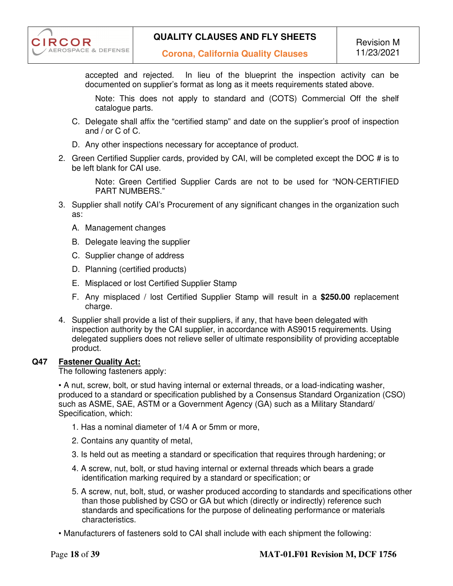

accepted and rejected. In lieu of the blueprint the inspection activity can be documented on supplier's format as long as it meets requirements stated above.

Note: This does not apply to standard and (COTS) Commercial Off the shelf catalogue parts.

- C. Delegate shall affix the "certified stamp" and date on the supplier's proof of inspection and / or C of C.
- D. Any other inspections necessary for acceptance of product.
- 2. Green Certified Supplier cards, provided by CAI, will be completed except the DOC # is to be left blank for CAI use.

Note: Green Certified Supplier Cards are not to be used for "NON-CERTIFIED PART NUMBERS."

- 3. Supplier shall notify CAI's Procurement of any significant changes in the organization such as:
	- A. Management changes
	- B. Delegate leaving the supplier
	- C. Supplier change of address
	- D. Planning (certified products)
	- E. Misplaced or lost Certified Supplier Stamp
	- F. Any misplaced / lost Certified Supplier Stamp will result in a **\$250.00** replacement charge.
- 4. Supplier shall provide a list of their suppliers, if any, that have been delegated with inspection authority by the CAI supplier, in accordance with AS9015 requirements. Using delegated suppliers does not relieve seller of ultimate responsibility of providing acceptable product.

#### **Q47 Fastener Quality Act:**

The following fasteners apply:

• A nut, screw, bolt, or stud having internal or external threads, or a load-indicating washer, produced to a standard or specification published by a Consensus Standard Organization (CSO) such as ASME, SAE, ASTM or a Government Agency (GA) such as a Military Standard/ Specification, which:

- 1. Has a nominal diameter of 1/4 A or 5mm or more,
- 2. Contains any quantity of metal,
- 3. Is held out as meeting a standard or specification that requires through hardening; or
- 4. A screw, nut, bolt, or stud having internal or external threads which bears a grade identification marking required by a standard or specification; or
- 5. A screw, nut, bolt, stud, or washer produced according to standards and specifications other than those published by CSO or GA but which (directly or indirectly) reference such standards and specifications for the purpose of delineating performance or materials characteristics.

• Manufacturers of fasteners sold to CAI shall include with each shipment the following: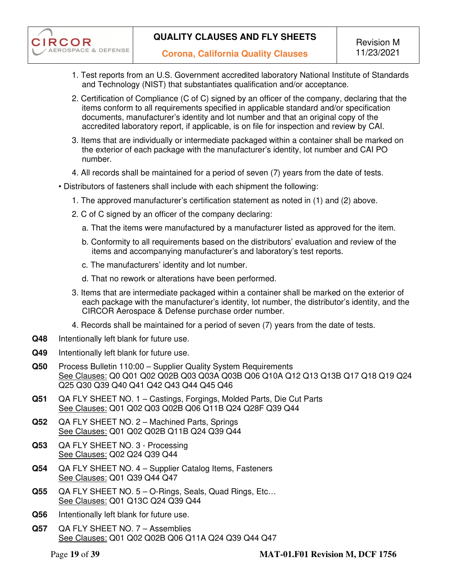

- 1. Test reports from an U.S. Government accredited laboratory National Institute of Standards and Technology (NIST) that substantiates qualification and/or acceptance.
- 2. Certification of Compliance (C of C) signed by an officer of the company, declaring that the items conform to all requirements specified in applicable standard and/or specification documents, manufacturer's identity and lot number and that an original copy of the accredited laboratory report, if applicable, is on file for inspection and review by CAI.
- 3. Items that are individually or intermediate packaged within a container shall be marked on the exterior of each package with the manufacturer's identity, lot number and CAI PO number.
- 4. All records shall be maintained for a period of seven (7) years from the date of tests.
- Distributors of fasteners shall include with each shipment the following:
	- 1. The approved manufacturer's certification statement as noted in (1) and (2) above.
	- 2. C of C signed by an officer of the company declaring:
		- a. That the items were manufactured by a manufacturer listed as approved for the item.
		- b. Conformity to all requirements based on the distributors' evaluation and review of the items and accompanying manufacturer's and laboratory's test reports.
		- c. The manufacturers' identity and lot number.
		- d. That no rework or alterations have been performed.
	- 3. Items that are intermediate packaged within a container shall be marked on the exterior of each package with the manufacturer's identity, lot number, the distributor's identity, and the CIRCOR Aerospace & Defense purchase order number.
	- 4. Records shall be maintained for a period of seven (7) years from the date of tests.
- **Q48** Intentionally left blank for future use.
- **Q49** Intentionally left blank for future use.
- **Q50** Process Bulletin 110:00 Supplier Quality System Requirements See Clauses: Q0 Q01 Q02 Q02B Q03 Q03A Q03B Q06 Q10A Q12 Q13 Q13B Q17 Q18 Q19 Q24 Q25 Q30 Q39 Q40 Q41 Q42 Q43 Q44 Q45 Q46
- **Q51** QA FLY SHEET NO. 1 Castings, Forgings, Molded Parts, Die Cut Parts See Clauses: Q01 Q02 Q03 Q02B Q06 Q11B Q24 Q28F Q39 Q44
- **Q52** QA FLY SHEET NO. 2 Machined Parts, Springs See Clauses: Q01 Q02 Q02B Q11B Q24 Q39 Q44
- **Q53** QA FLY SHEET NO. 3 Processing See Clauses: Q02 Q24 Q39 Q44
- **Q54** QA FLY SHEET NO. 4 Supplier Catalog Items, Fasteners See Clauses: Q01 Q39 Q44 Q47
- **Q55** QA FLY SHEET NO. 5 O-Rings, Seals, Quad Rings, Etc… See Clauses: Q01 Q13C Q24 Q39 Q44
- **Q56** Intentionally left blank for future use.
- **Q57** QA FLY SHEET NO. 7 Assemblies See Clauses: Q01 Q02 Q02B Q06 Q11A Q24 Q39 Q44 Q47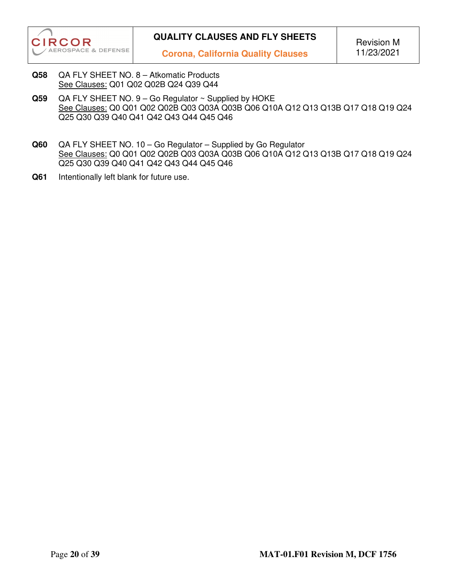

- **Q58** QA FLY SHEET NO. 8 Atkomatic Products See Clauses: Q01 Q02 Q02B Q24 Q39 Q44
- **Q59** QA FLY SHEET NO. 9 Go Regulator ~ Supplied by HOKE See Clauses: Q0 Q01 Q02 Q02B Q03 Q03A Q03B Q06 Q10A Q12 Q13 Q13B Q17 Q18 Q19 Q24 Q25 Q30 Q39 Q40 Q41 Q42 Q43 Q44 Q45 Q46
- **Q60** QA FLY SHEET NO. 10 Go Regulator Supplied by Go Regulator See Clauses: Q0 Q01 Q02 Q02B Q03 Q03A Q03B Q06 Q10A Q12 Q13 Q13B Q17 Q18 Q19 Q24 Q25 Q30 Q39 Q40 Q41 Q42 Q43 Q44 Q45 Q46
- **Q61** Intentionally left blank for future use.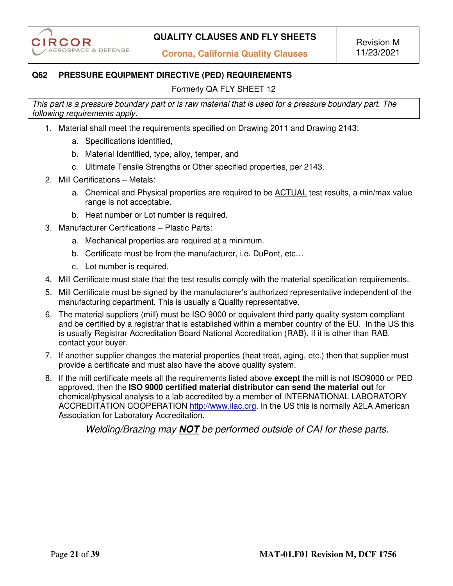# **Q62 PRESSURE EQUIPMENT DIRECTIVE (PED) REQUIREMENTS**

Formerly QA FLY SHEET 12

*This part is a pressure boundary part or is raw material that is used for a pressure boundary part. The following requirements apply.* 

- 1. Material shall meet the requirements specified on Drawing 2011 and Drawing 2143:
	- a. Specifications identified,
	- b. Material Identified, type, alloy, temper, and
	- c. Ultimate Tensile Strengths or Other specified properties, per 2143.
- 2. Mill Certifications Metals:
	- a. Chemical and Physical properties are required to be ACTUAL test results, a min/max value range is not acceptable.
	- b. Heat number or Lot number is required.
- 3. Manufacturer Certifications Plastic Parts:
	- a. Mechanical properties are required at a minimum.
	- b. Certificate must be from the manufacturer, i.e. DuPont, etc…
	- c. Lot number is required.
- 4. Mill Certificate must state that the test results comply with the material specification requirements.
- 5. Mill Certificate must be signed by the manufacturer's authorized representative independent of the manufacturing department. This is usually a Quality representative.
- 6. The material suppliers (mill) must be ISO 9000 or equivalent third party quality system compliant and be certified by a registrar that is established within a member country of the EU. In the US this is usually Registrar Accreditation Board National Accreditation (RAB). If it is other than RAB, contact your buyer.
- 7. If another supplier changes the material properties (heat treat, aging, etc.) then that supplier must provide a certificate and must also have the above quality system.
- 8. If the mill certificate meets all the requirements listed above **except** the mill is not ISO9000 or PED approved, then the **ISO 9000 certified material distributor can send the material out** for chemical/physical analysis to a lab accredited by a member of INTERNATIONAL LABORATORY ACCREDITATION COOPERATION http://www.ilac.org. In the US this is normally A2LA American Association for Laboratory Accreditation.

*Welding/Brazing may NOT be performed outside of CAI for these parts.*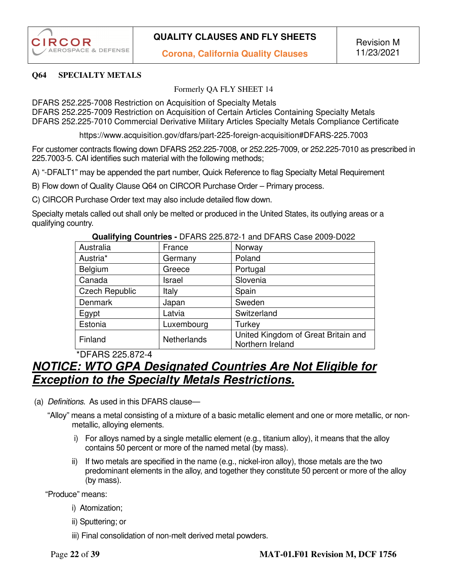#### **Q64 SPECIALTY METALS**

Formerly QA FLY SHEET 14

DFARS 252.225-7008 Restriction on Acquisition of Specialty Metals

DFARS 252.225-7009 Restriction on Acquisition of Certain Articles Containing Specialty Metals DFARS 252.225-7010 Commercial Derivative Military Articles Specialty Metals Compliance Certificate

https://www.acquisition.gov/dfars/part-225-foreign-acquisition#DFARS-225.7003

For customer contracts flowing down DFARS 252.225-7008, or 252.225-7009, or 252.225-7010 as prescribed in 225.7003-5. CAI identifies such material with the following methods;

A) "-DFALT1" may be appended the part number, Quick Reference to flag Specialty Metal Requirement

B) Flow down of Quality Clause Q64 on CIRCOR Purchase Order – Primary process.

C) CIRCOR Purchase Order text may also include detailed flow down.

Specialty metals called out shall only be melted or produced in the United States, its outlying areas or a qualifying country.

| Australia             | France      | Norway                                                  |
|-----------------------|-------------|---------------------------------------------------------|
| Austria <sup>*</sup>  | Germany     | Poland                                                  |
| Belgium               | Greece      | Portugal                                                |
| Canada                | Israel      | Slovenia                                                |
| <b>Czech Republic</b> | Italy       | Spain                                                   |
| <b>Denmark</b>        | Japan       | Sweden                                                  |
| Egypt                 | Latvia      | Switzerland                                             |
| Estonia               | Luxembourg  | Turkey                                                  |
| Finland               | Netherlands | United Kingdom of Great Britain and<br>Northern Ireland |

#### **Qualifying Countries -** DFARS 225.872-1 and DFARS Case 2009-D022

\*DFARS 225.872-4

# *NOTICE: WTO GPA Designated Countries Are Not Eligible for Exception to the Specialty Metals Restrictions.*

- (a) *Definitions*. As used in this DFARS clause—
	- "Alloy" means a metal consisting of a mixture of a basic metallic element and one or more metallic, or nonmetallic, alloying elements.
		- i) For alloys named by a single metallic element (e.g., titanium alloy), it means that the alloy contains 50 percent or more of the named metal (by mass).
		- $ii)$  If two metals are specified in the name (e.g., nickel-iron alloy), those metals are the two predominant elements in the alloy, and together they constitute 50 percent or more of the alloy (by mass).

"Produce" means:

- i) Atomization;
- ii) Sputtering; or
- iii) Final consolidation of non-melt derived metal powders.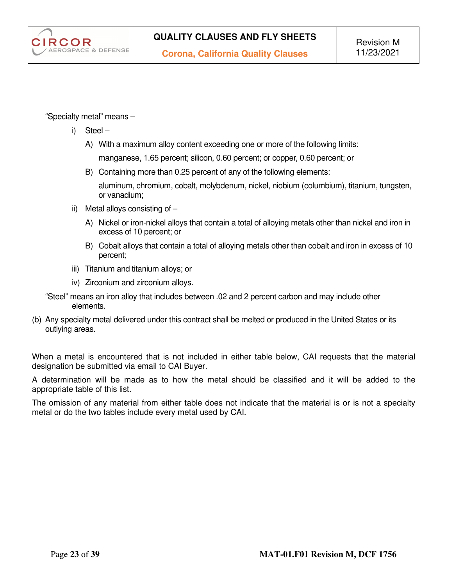

"Specialty metal" means –

- i) Steel
	- A) With a maximum alloy content exceeding one or more of the following limits:

manganese, 1.65 percent; silicon, 0.60 percent; or copper, 0.60 percent; or

B) Containing more than 0.25 percent of any of the following elements:

aluminum, chromium, cobalt, molybdenum, nickel, niobium (columbium), titanium, tungsten, or vanadium;

- ii) Metal alloys consisting of
	- A) Nickel or iron-nickel alloys that contain a total of alloying metals other than nickel and iron in excess of 10 percent; or
	- B) Cobalt alloys that contain a total of alloying metals other than cobalt and iron in excess of 10 percent;
- iii) Titanium and titanium alloys; or
- iv) Zirconium and zirconium alloys.
- "Steel" means an iron alloy that includes between .02 and 2 percent carbon and may include other elements.
- (b) Any specialty metal delivered under this contract shall be melted or produced in the United States or its outlying areas.

When a metal is encountered that is not included in either table below, CAI requests that the material designation be submitted via email to CAI Buyer.

A determination will be made as to how the metal should be classified and it will be added to the appropriate table of this list.

The omission of any material from either table does not indicate that the material is or is not a specialty metal or do the two tables include every metal used by CAI.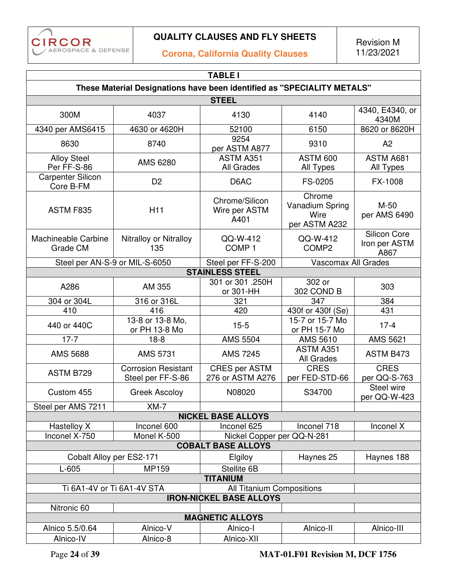

# **Corona, California Quality Clauses**

Revision M 11/23/2021

| <b>TABLE I</b>                                                          |                                                 |                                          |                                                    |                                       |
|-------------------------------------------------------------------------|-------------------------------------------------|------------------------------------------|----------------------------------------------------|---------------------------------------|
| These Material Designations have been identified as "SPECIALITY METALS" |                                                 |                                          |                                                    |                                       |
|                                                                         |                                                 | <b>STEEL</b>                             |                                                    |                                       |
| 300M                                                                    | 4037                                            | 4130                                     | 4140                                               | 4340, E4340, or<br>4340M              |
| 4340 per AMS6415                                                        | 4630 or 4620H                                   | 52100                                    | 6150                                               | 8620 or 8620H                         |
| 8630                                                                    | 8740                                            | 9254<br>per ASTM A877                    | 9310                                               | A2                                    |
| <b>Alloy Steel</b><br>Per FF-S-86                                       | AMS 6280                                        | ASTM A351<br>All Grades                  | <b>ASTM 600</b><br>All Types                       | ASTM A681<br>All Types                |
| <b>Carpenter Silicon</b><br>Core B-FM                                   | D <sub>2</sub>                                  | D6AC                                     | FS-0205                                            | FX-1008                               |
| ASTM F835                                                               | H <sub>11</sub>                                 | Chrome/Silicon<br>Wire per ASTM<br>A401  | Chrome<br>Vanadium Spring<br>Wire<br>per ASTM A232 | $M-50$<br>per AMS 6490                |
| Machineable Carbine<br>Grade CM                                         | Nitralloy or Nitralloy<br>135                   | QQ-W-412<br>COMP <sub>1</sub>            | QQ-W-412<br>COMP <sub>2</sub>                      | Silicon Core<br>Iron per ASTM<br>A867 |
| Steel per AN-S-9 or MIL-S-6050                                          |                                                 | Steel per FF-S-200                       | Vascomax All Grades                                |                                       |
|                                                                         |                                                 | <b>STAINLESS STEEL</b>                   |                                                    |                                       |
| A286                                                                    | AM 355                                          | 301 or 301 .250H<br>or 301-HH            | 302 or<br>302 COND B                               | 303                                   |
| 304 or 304L                                                             | 316 or 316L                                     | 321                                      | 347                                                | 384                                   |
| 410                                                                     | 416                                             | 420                                      | 430f or 430f (Se)                                  | 431                                   |
| 440 or 440C                                                             | 13-8 or 13-8 Mo,<br>or PH 13-8 Mo               | $15 - 5$                                 | 15-7 or 15-7 Mo<br>or PH 15-7 Mo                   | $17 - 4$                              |
| $17 - 7$                                                                | $18-8$                                          | <b>AMS 5504</b>                          | AMS 5610                                           | <b>AMS 5621</b>                       |
| <b>AMS 5688</b>                                                         | <b>AMS 5731</b>                                 | <b>AMS 7245</b>                          | ASTM A351<br>All Grades                            | ASTM B473                             |
| ASTM B729                                                               | <b>Corrosion Resistant</b><br>Steel per FF-S-86 | <b>CRES per ASTM</b><br>276 or ASTM A276 | <b>CRES</b><br>per FED-STD-66                      | <b>CRES</b><br>per QQ-S-763           |
| Custom 455                                                              | <b>Greek Ascoloy</b>                            | N08020                                   | S34700                                             | Steel wire<br>per QQ-W-423            |
| Steel per AMS 7211                                                      | $XM-7$                                          |                                          |                                                    |                                       |
|                                                                         |                                                 | <b>NICKEL BASE ALLOYS</b>                |                                                    |                                       |
| Hastelloy X                                                             | Inconel 600                                     | Inconel 625                              | Inconel 718                                        | Inconel X                             |
| Inconel X-750                                                           | Monel K-500                                     | Nickel Copper per QQ-N-281               |                                                    |                                       |
| <b>COBALT BASE ALLOYS</b>                                               |                                                 |                                          |                                                    |                                       |
| Cobalt Alloy per ES2-171                                                |                                                 | Elgiloy                                  | Haynes 25                                          | Haynes 188                            |
| $L-605$<br>MP159                                                        |                                                 | Stellite 6B                              |                                                    |                                       |
| <b>TITANIUM</b>                                                         |                                                 |                                          |                                                    |                                       |
| Ti 6A1-4V or Ti 6A1-4V STA<br>All Titanium Compositions                 |                                                 |                                          |                                                    |                                       |
| <b>IRON-NICKEL BASE ALLOYS</b>                                          |                                                 |                                          |                                                    |                                       |
| Nitronic 60                                                             |                                                 |                                          |                                                    |                                       |
| <b>MAGNETIC ALLOYS</b>                                                  |                                                 |                                          |                                                    |                                       |
| Alnico 5.5/0.64                                                         | Alnico-V                                        | Alnico-I                                 | Alnico-II                                          | Alnico-III                            |
| Alnico-IV                                                               | Alnico-8                                        | Alnico-XII                               |                                                    |                                       |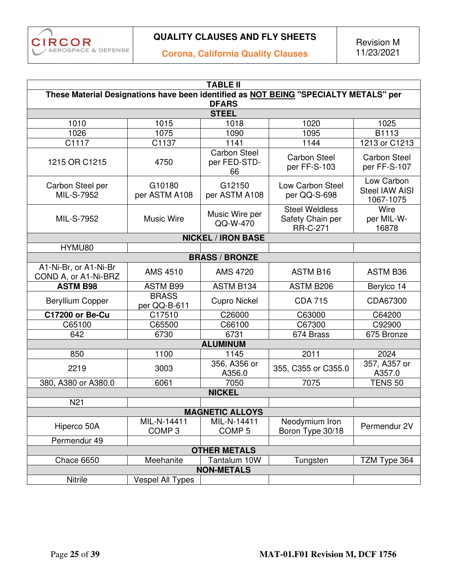

**Corona, California Quality Clauses** 

|                                               | <b>TABLE II</b>                                                                      |                                           |                                                              |                                           |  |
|-----------------------------------------------|--------------------------------------------------------------------------------------|-------------------------------------------|--------------------------------------------------------------|-------------------------------------------|--|
|                                               | These Material Designations have been identified as NOT BEING "SPECIALTY METALS" per |                                           |                                                              |                                           |  |
|                                               |                                                                                      | <b>DFARS</b>                              |                                                              |                                           |  |
|                                               |                                                                                      | <b>STEEL</b>                              |                                                              |                                           |  |
| 1010                                          | 1015                                                                                 | 1018                                      | 1020                                                         | 1025                                      |  |
| 1026                                          | 1075                                                                                 | 1090                                      | 1095                                                         | B1113                                     |  |
| C <sub>1117</sub>                             | C1137                                                                                | 1141                                      | 1144                                                         | 1213 or C1213                             |  |
| 1215 OR C1215                                 | 4750                                                                                 | <b>Carbon Steel</b><br>per FED-STD-<br>66 | <b>Carbon Steel</b><br>per FF-S-103                          | <b>Carbon Steel</b><br>per FF-S-107       |  |
| Carbon Steel per<br>MIL-S-7952                | G10180<br>per ASTM A108                                                              | G12150<br>per ASTM A108                   | Low Carbon Steel<br>per QQ-S-698                             | Low Carbon<br>Steel IAW AISI<br>1067-1075 |  |
| MIL-S-7952                                    | <b>Music Wire</b>                                                                    | Music Wire per<br>QQ-W-470                | <b>Steel Weldless</b><br>Safety Chain per<br><b>RR-C-271</b> | Wire<br>per MIL-W-<br>16878               |  |
|                                               |                                                                                      | <b>NICKEL / IRON BASE</b>                 |                                                              |                                           |  |
| HYMU80                                        |                                                                                      |                                           |                                                              |                                           |  |
|                                               |                                                                                      | <b>BRASS / BRONZE</b>                     |                                                              |                                           |  |
| A1-Ni-Br, or A1-Ni-Br<br>COND A, or A1-Ni-BRZ | <b>AMS 4510</b>                                                                      | <b>AMS 4720</b>                           | <b>ASTM B16</b>                                              | <b>ASTM B36</b>                           |  |
| <b>ASTM B98</b>                               | <b>ASTM B99</b>                                                                      | ASTM B134                                 | ASTM B206                                                    | Berylco 14                                |  |
| <b>Beryllium Copper</b>                       | <b>BRASS</b><br>per QQ-B-611                                                         | <b>Cupro Nickel</b>                       | <b>CDA 715</b>                                               | CDA67300                                  |  |
| <b>C17200 or Be-Cu</b>                        | C17510                                                                               | C26000                                    | C63000                                                       | C64200                                    |  |
| C65100                                        | C65500                                                                               | C66100                                    | C67300                                                       | C92900                                    |  |
| 642                                           | 6730                                                                                 | 6731                                      | 674 Brass                                                    | 675 Bronze                                |  |
|                                               |                                                                                      | <b>ALUMINUM</b>                           |                                                              |                                           |  |
| 850                                           | 1100                                                                                 | 1145                                      | 2011                                                         | 2024                                      |  |
| 2219                                          | 3003                                                                                 | 356, A356 or<br>A356.0                    | 355, C355 or C355.0                                          | 357, A357 or<br>A357.0                    |  |
| 380, A380 or A380.0                           | 6061                                                                                 | 7050                                      | 7075                                                         | <b>TENS 50</b>                            |  |
| <b>NICKEL</b>                                 |                                                                                      |                                           |                                                              |                                           |  |
| N <sub>21</sub>                               |                                                                                      |                                           |                                                              |                                           |  |
| <b>MAGNETIC ALLOYS</b>                        |                                                                                      |                                           |                                                              |                                           |  |
| Hiperco 50A                                   | MIL-N-14411<br>COMP <sub>3</sub>                                                     | MIL-N-14411<br>COMP <sub>5</sub>          | Neodymium Iron<br>Boron Type 30/18                           | Permendur 2V                              |  |
| Permendur 49                                  |                                                                                      |                                           |                                                              |                                           |  |
| <b>OTHER METALS</b>                           |                                                                                      |                                           |                                                              |                                           |  |
| Chace 6650                                    | Meehanite                                                                            | Tantalum 10W                              | Tungsten                                                     | TZM Type 364                              |  |
| <b>NON-METALS</b>                             |                                                                                      |                                           |                                                              |                                           |  |
| <b>Nitrile</b>                                | <b>Vespel All Types</b>                                                              |                                           |                                                              |                                           |  |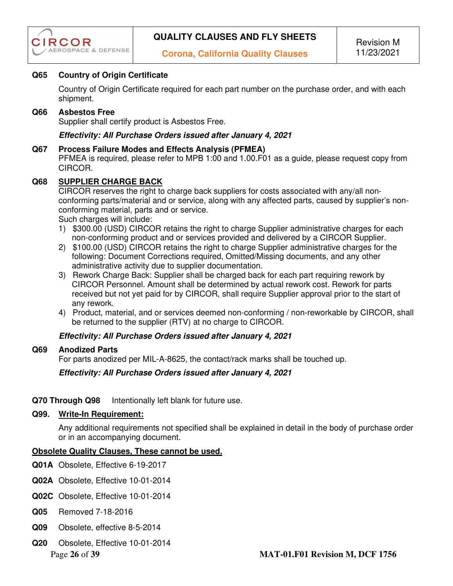

### **Q65 Country of Origin Certificate**

Country of Origin Certificate required for each part number on the purchase order, and with each shipment.

#### **Q66 Asbestos Free**

Supplier shall certify product is Asbestos Free.

#### *Effectivity: All Purchase Orders issued after January 4, 2021*

#### **Q67 Process Failure Modes and Effects Analysis (PFMEA)**

PFMEA is required, please refer to MPB 1:00 and 1.00.F01 as a guide, please request copy from CIRCOR.

#### **Q68 SUPPLIER CHARGE BACK**

CIRCOR reserves the right to charge back suppliers for costs associated with any/all nonconforming parts/material and or service, along with any affected parts, caused by supplier's nonconforming material, parts and or service.

Such charges will include:

- 1) \$300.00 (USD) CIRCOR retains the right to charge Supplier administrative charges for each non-conforming product and or services provided and delivered by a CIRCOR Supplier.
- 2) \$100.00 (USD) CIRCOR retains the right to charge Supplier administrative charges for the following: Document Corrections required, Omitted/Missing documents, and any other administrative activity due to supplier documentation.
- 3) Rework Charge Back: Supplier shall be charged back for each part requiring rework by CIRCOR Personnel. Amount shall be determined by actual rework cost. Rework for parts received but not yet paid for by CIRCOR, shall require Supplier approval prior to the start of any rework.
- 4) Product, material, and or services deemed non-conforming / non-reworkable by CIRCOR, shall be returned to the supplier (RTV) at no charge to CIRCOR.

#### *Effectivity: All Purchase Orders issued after January 4, 2021*

#### **Q69 Anodized Parts**

For parts anodized per MIL-A-8625, the contact/rack marks shall be touched up.

#### *Effectivity: All Purchase Orders issued after January 4, 2021*

#### **Q70 Through Q98** Intentionally left blank for future use.

#### **Q99. Write-In Requirement:**

Any additional requirements not specified shall be explained in detail in the body of purchase order or in an accompanying document.

#### **Obsolete Quality Clauses, These cannot be used.**

- **Q01A** Obsolete, Effective 6-19-2017
- **Q02A** Obsolete, Effective 10-01-2014
- **Q02C** Obsolete, Effective 10-01-2014
- **Q05** Removed 7-18-2016
- **Q09** Obsolete, effective 8-5-2014
- **Q20** Obsolete, Effective 10-01-2014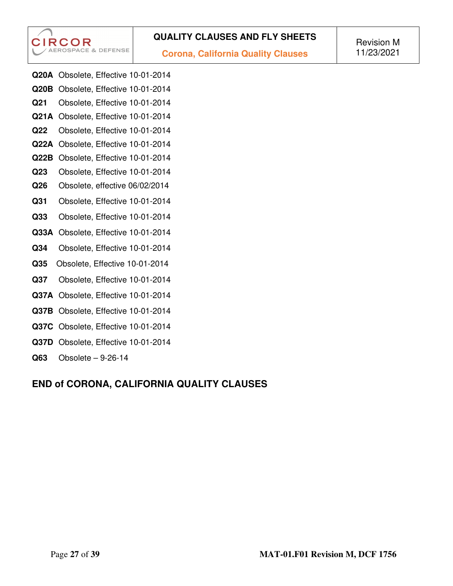**CIRCOR AEROSPACE & DEFENSE** 

**Corona, California Quality Clauses** 

- **Q20A** Obsolete, Effective 10-01-2014
- **Q20B** Obsolete, Effective 10-01-2014 **Q21** Obsolete, Effective 10-01-2014
- **Q21A** Obsolete, Effective 10-01-2014
- **Q22** Obsolete, Effective 10-01-2014
- **Q22A** Obsolete, Effective 10-01-2014
- **Q22B** Obsolete, Effective 10-01-2014
- **Q23** Obsolete, Effective 10-01-2014
- **Q26** Obsolete, effective 06/02/2014
- **Q31** Obsolete, Effective 10-01-2014
- **Q33** Obsolete, Effective 10-01-2014
- **Q33A** Obsolete, Effective 10-01-2014
- **Q34** Obsolete, Effective 10-01-2014
- **Q35** Obsolete, Effective 10-01-2014
- **Q37** Obsolete, Effective 10-01-2014
- **Q37A** Obsolete, Effective 10-01-2014
- **Q37B** Obsolete, Effective 10-01-2014
- **Q37C** Obsolete, Effective 10-01-2014
- **Q37D** Obsolete, Effective 10-01-2014
- **Q63** Obsolete 9-26-14

# **END of CORONA, CALIFORNIA QUALITY CLAUSES**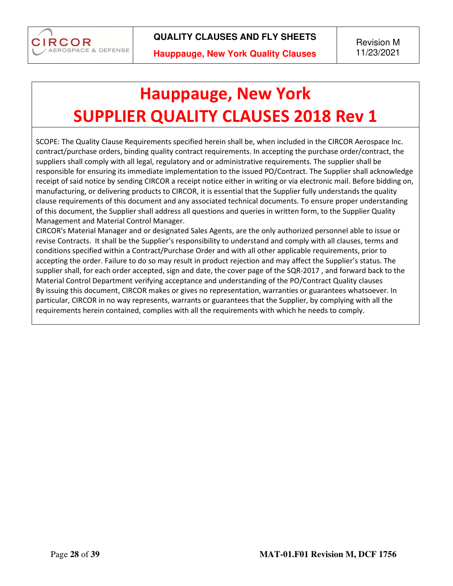

# **Hauppauge, New York SUPPLIER QUALITY CLAUSES 2018 Rev 1**

SCOPE: The Quality Clause Requirements specified herein shall be, when included in the CIRCOR Aerospace Inc. contract/purchase orders, binding quality contract requirements. In accepting the purchase order/contract, the suppliers shall comply with all legal, regulatory and or administrative requirements. The supplier shall be responsible for ensuring its immediate implementation to the issued PO/Contract. The Supplier shall acknowledge receipt of said notice by sending CIRCOR a receipt notice either in writing or via electronic mail. Before bidding on, manufacturing, or delivering products to CIRCOR, it is essential that the Supplier fully understands the quality clause requirements of this document and any associated technical documents. To ensure proper understanding of this document, the Supplier shall address all questions and queries in written form, to the Supplier Quality Management and Material Control Manager.

CIRCOR's Material Manager and or designated Sales Agents, are the only authorized personnel able to issue or revise Contracts. It shall be the Supplier's responsibility to understand and comply with all clauses, terms and conditions specified within a Contract/Purchase Order and with all other applicable requirements, prior to accepting the order. Failure to do so may result in product rejection and may affect the Supplier's status. The supplier shall, for each order accepted, sign and date, the cover page of the SQR-2017 , and forward back to the Material Control Department verifying acceptance and understanding of the PO/Contract Quality clauses By issuing this document, CIRCOR makes or gives no representation, warranties or guarantees whatsoever. In particular, CIRCOR in no way represents, warrants or guarantees that the Supplier, by complying with all the requirements herein contained, complies with all the requirements with which he needs to comply.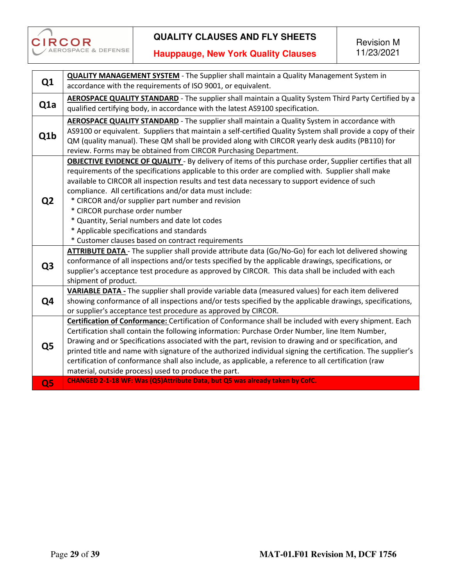

|                  | <b>QUALITY MANAGEMENT SYSTEM</b> - The Supplier shall maintain a Quality Management System in                   |
|------------------|-----------------------------------------------------------------------------------------------------------------|
| Q <sub>1</sub>   | accordance with the requirements of ISO 9001, or equivalent.                                                    |
|                  | AEROSPACE QUALITY STANDARD - The supplier shall maintain a Quality System Third Party Certified by a            |
| Q <sub>1</sub> a | qualified certifying body, in accordance with the latest AS9100 specification.                                  |
|                  | AEROSPACE QUALITY STANDARD - The supplier shall maintain a Quality System in accordance with                    |
| Q1b              | AS9100 or equivalent. Suppliers that maintain a self-certified Quality System shall provide a copy of their     |
|                  | QM (quality manual). These QM shall be provided along with CIRCOR yearly desk audits (PB110) for                |
|                  | review. Forms may be obtained from CIRCOR Purchasing Department.                                                |
|                  | <b>OBJECTIVE EVIDENCE OF QUALITY</b> - By delivery of items of this purchase order, Supplier certifies that all |
|                  | requirements of the specifications applicable to this order are complied with. Supplier shall make              |
|                  | available to CIRCOR all inspection results and test data necessary to support evidence of such                  |
|                  | compliance. All certifications and/or data must include:                                                        |
| Q <sub>2</sub>   | * CIRCOR and/or supplier part number and revision                                                               |
|                  | * CIRCOR purchase order number                                                                                  |
|                  | * Quantity, Serial numbers and date lot codes                                                                   |
|                  | * Applicable specifications and standards                                                                       |
|                  | * Customer clauses based on contract requirements                                                               |
|                  | ATTRIBUTE DATA - The supplier shall provide attribute data (Go/No-Go) for each lot delivered showing            |
| Q <sub>3</sub>   | conformance of all inspections and/or tests specified by the applicable drawings, specifications, or            |
|                  | supplier's acceptance test procedure as approved by CIRCOR. This data shall be included with each               |
|                  | shipment of product.                                                                                            |
|                  | VARIABLE DATA - The supplier shall provide variable data (measured values) for each item delivered              |
| Q4               | showing conformance of all inspections and/or tests specified by the applicable drawings, specifications,       |
|                  | or supplier's acceptance test procedure as approved by CIRCOR.                                                  |
|                  | Certification of Conformance: Certification of Conformance shall be included with every shipment. Each          |
|                  | Certification shall contain the following information: Purchase Order Number, line Item Number,                 |
| Q <sub>5</sub>   | Drawing and or Specifications associated with the part, revision to drawing and or specification, and           |
|                  | printed title and name with signature of the authorized individual signing the certification. The supplier's    |
|                  | certification of conformance shall also include, as applicable, a reference to all certification (raw           |
|                  | material, outside process) used to produce the part.                                                            |
| Q <sub>5</sub>   | CHANGED 2-1-18 WF: Was (Q5)Attribute Data, but Q5 was already taken by CofC.                                    |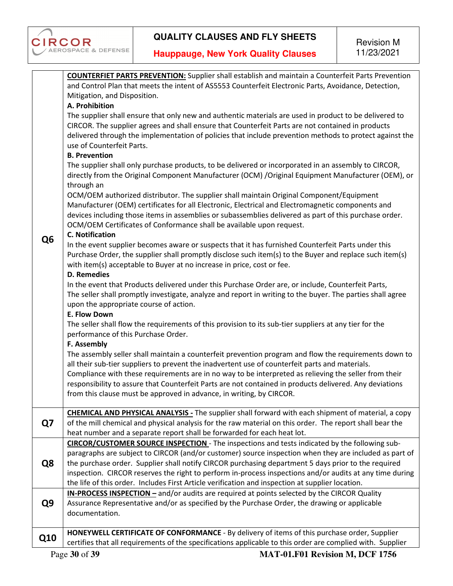

|                | <b>COUNTERFIET PARTS PREVENTION:</b> Supplier shall establish and maintain a Counterfeit Parts Prevention                                                                                                   |
|----------------|-------------------------------------------------------------------------------------------------------------------------------------------------------------------------------------------------------------|
|                | and Control Plan that meets the intent of AS5553 Counterfeit Electronic Parts, Avoidance, Detection,                                                                                                        |
|                | Mitigation, and Disposition.                                                                                                                                                                                |
|                | A. Prohibition                                                                                                                                                                                              |
|                | The supplier shall ensure that only new and authentic materials are used in product to be delivered to                                                                                                      |
|                | CIRCOR. The supplier agrees and shall ensure that Counterfeit Parts are not contained in products                                                                                                           |
|                | delivered through the implementation of policies that include prevention methods to protect against the                                                                                                     |
|                | use of Counterfeit Parts.                                                                                                                                                                                   |
|                | <b>B. Prevention</b>                                                                                                                                                                                        |
|                | The supplier shall only purchase products, to be delivered or incorporated in an assembly to CIRCOR,                                                                                                        |
|                | directly from the Original Component Manufacturer (OCM) /Original Equipment Manufacturer (OEM), or                                                                                                          |
|                | through an                                                                                                                                                                                                  |
|                | OCM/OEM authorized distributor. The supplier shall maintain Original Component/Equipment                                                                                                                    |
|                | Manufacturer (OEM) certificates for all Electronic, Electrical and Electromagnetic components and<br>devices including those items in assemblies or subassemblies delivered as part of this purchase order. |
|                | OCM/OEM Certificates of Conformance shall be available upon request.                                                                                                                                        |
|                | <b>C. Notification</b>                                                                                                                                                                                      |
| Q <sub>6</sub> | In the event supplier becomes aware or suspects that it has furnished Counterfeit Parts under this                                                                                                          |
|                | Purchase Order, the supplier shall promptly disclose such item(s) to the Buyer and replace such item(s)                                                                                                     |
|                | with item(s) acceptable to Buyer at no increase in price, cost or fee.                                                                                                                                      |
|                | <b>D. Remedies</b>                                                                                                                                                                                          |
|                | In the event that Products delivered under this Purchase Order are, or include, Counterfeit Parts,                                                                                                          |
|                | The seller shall promptly investigate, analyze and report in writing to the buyer. The parties shall agree                                                                                                  |
|                | upon the appropriate course of action.                                                                                                                                                                      |
|                | E. Flow Down                                                                                                                                                                                                |
|                | The seller shall flow the requirements of this provision to its sub-tier suppliers at any tier for the                                                                                                      |
|                | performance of this Purchase Order.                                                                                                                                                                         |
|                | F. Assembly                                                                                                                                                                                                 |
|                | The assembly seller shall maintain a counterfeit prevention program and flow the requirements down to                                                                                                       |
|                | all their sub-tier suppliers to prevent the inadvertent use of counterfeit parts and materials.                                                                                                             |
|                | Compliance with these requirements are in no way to be interpreted as relieving the seller from their                                                                                                       |
|                | responsibility to assure that Counterfeit Parts are not contained in products delivered. Any deviations                                                                                                     |
|                | from this clause must be approved in advance, in writing, by CIRCOR.                                                                                                                                        |
|                | <b>CHEMICAL AND PHYSICAL ANALYSIS</b> - The supplier shall forward with each shipment of material, a copy                                                                                                   |
| Q7             | of the mill chemical and physical analysis for the raw material on this order. The report shall bear the                                                                                                    |
|                | heat number and a separate report shall be forwarded for each heat lot.                                                                                                                                     |
|                | CIRCOR/CUSTOMER SOURCE INSPECTION - The inspections and tests indicated by the following sub-                                                                                                               |
|                | paragraphs are subject to CIRCOR (and/or customer) source inspection when they are included as part of                                                                                                      |
| Q8             | the purchase order. Supplier shall notify CIRCOR purchasing department 5 days prior to the required                                                                                                         |
|                | inspection. CIRCOR reserves the right to perform in-process inspections and/or audits at any time during                                                                                                    |
|                | the life of this order. Includes First Article verification and inspection at supplier location.                                                                                                            |
|                | <b>IN-PROCESS INSPECTION</b> - and/or audits are required at points selected by the CIRCOR Quality                                                                                                          |
| Q9             | Assurance Representative and/or as specified by the Purchase Order, the drawing or applicable                                                                                                               |
|                | documentation.                                                                                                                                                                                              |
|                |                                                                                                                                                                                                             |
| Q10            | HONEYWELL CERTIFICATE OF CONFORMANCE - By delivery of items of this purchase order, Supplier                                                                                                                |
|                | certifies that all requirements of the specifications applicable to this order are complied with. Supplier                                                                                                  |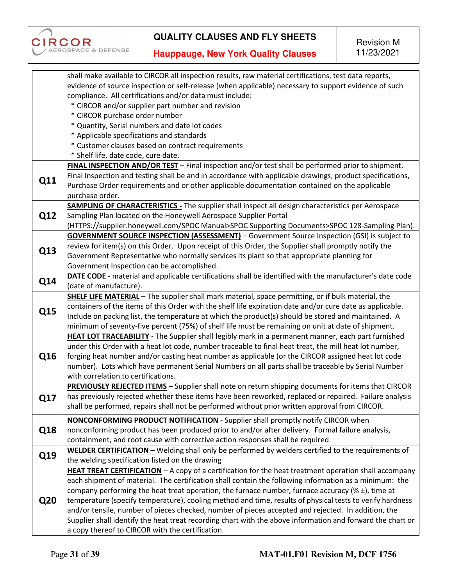

|            | shall make available to CIRCOR all inspection results, raw material certifications, test data reports,     |
|------------|------------------------------------------------------------------------------------------------------------|
|            | evidence of source inspection or self-release (when applicable) necessary to support evidence of such      |
|            | compliance. All certifications and/or data must include:                                                   |
|            | * CIRCOR and/or supplier part number and revision                                                          |
|            | * CIRCOR purchase order number                                                                             |
|            | * Quantity, Serial numbers and date lot codes                                                              |
|            | * Applicable specifications and standards                                                                  |
|            | * Customer clauses based on contract requirements                                                          |
|            | * Shelf life, date code, cure date.                                                                        |
|            | FINAL INSPECTION AND/OR TEST - Final inspection and/or test shall be performed prior to shipment.          |
|            | Final Inspection and testing shall be and in accordance with applicable drawings, product specifications,  |
| Q11        | Purchase Order requirements and or other applicable documentation contained on the applicable              |
|            | purchase order.                                                                                            |
|            | <b>SAMPLING OF CHARACTERISTICS -</b> The supplier shall inspect all design characteristics per Aerospace   |
| Q12        | Sampling Plan located on the Honeywell Aerospace Supplier Portal                                           |
|            | (HTTPS://supplier.honeywell.com/SPOC Manual>SPOC Supporting Documents>SPOC 128-Sampling Plan).             |
|            | <b>GOVERNMENT SOURCE INSPECTION (ASSESSMENT)</b> - Government Source Inspection (GSI) is subject to        |
|            | review for item(s) on this Order. Upon receipt of this Order, the Supplier shall promptly notify the       |
| Q13        | Government Representative who normally services its plant so that appropriate planning for                 |
|            | Government Inspection can be accomplished.                                                                 |
|            | DATE CODE - material and applicable certifications shall be identified with the manufacturer's date code   |
| Q14        | (date of manufacture).                                                                                     |
|            | SHELF LIFE MATERIAL - The supplier shall mark material, space permitting, or if bulk material, the         |
|            | containers of the items of this Order with the shelf life expiration date and/or cure date as applicable.  |
| Q15        | Include on packing list, the temperature at which the product(s) should be stored and maintained. A        |
|            | minimum of seventy-five percent (75%) of shelf life must be remaining on unit at date of shipment.         |
|            | HEAT LOT TRACEABILITY - The Supplier shall legibly mark in a permanent manner, each part furnished         |
|            | under this Order with a heat lot code, number traceable to final heat treat, the mill heat lot number,     |
|            | forging heat number and/or casting heat number as applicable (or the CIRCOR assigned heat lot code         |
| Q16        | number). Lots which have permanent Serial Numbers on all parts shall be traceable by Serial Number         |
|            | with correlation to certifications.                                                                        |
|            | PREVIOUSLY REJECTED ITEMS - Supplier shall note on return shipping documents for items that CIRCOR         |
|            | has previously rejected whether these items have been reworked, replaced or repaired. Failure analysis     |
| Q17        | shall be performed, repairs shall not be performed without prior written approval from CIRCOR.             |
|            |                                                                                                            |
|            | <b>NONCONFORMING PRODUCT NOTIFICATION</b> - Supplier shall promptly notify CIRCOR when                     |
| Q18        | nonconforming product has been produced prior to and/or after delivery. Formal failure analysis,           |
|            | containment, and root cause with corrective action responses shall be required.                            |
| Q19        | WELDER CERTIFICATION - Welding shall only be performed by welders certified to the requirements of         |
|            | the welding specification listed on the drawing                                                            |
|            | HEAT TREAT CERTIFICATION - A copy of a certification for the heat treatment operation shall accompany      |
|            | each shipment of material. The certification shall contain the following information as a minimum: the     |
|            | company performing the heat treat operation; the furnace number, furnace accuracy ( $\%$ ±), time at       |
| <b>Q20</b> | temperature (specify temperature), cooling method and time, results of physical tests to verify hardness   |
|            | and/or tensile, number of pieces checked, number of pieces accepted and rejected. In addition, the         |
|            | Supplier shall identify the heat treat recording chart with the above information and forward the chart or |
|            | a copy thereof to CIRCOR with the certification.                                                           |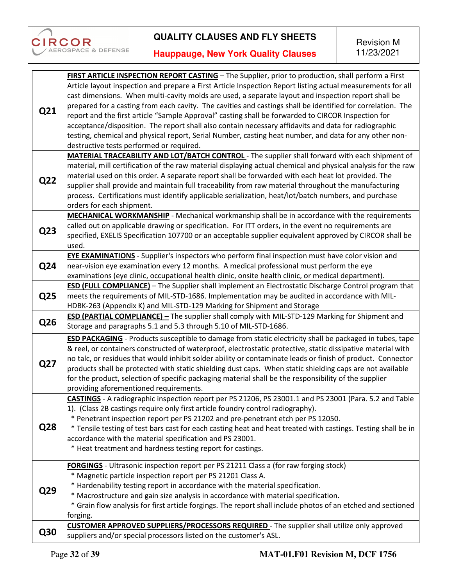

|     | FIRST ARTICLE INSPECTION REPORT CASTING - The Supplier, prior to production, shall perform a First            |
|-----|---------------------------------------------------------------------------------------------------------------|
|     | Article layout inspection and prepare a First Article Inspection Report listing actual measurements for all   |
|     | cast dimensions. When multi-cavity molds are used, a separate layout and inspection report shall be           |
|     | prepared for a casting from each cavity. The cavities and castings shall be identified for correlation. The   |
| Q21 | report and the first article "Sample Approval" casting shall be forwarded to CIRCOR Inspection for            |
|     | acceptance/disposition. The report shall also contain necessary affidavits and data for radiographic          |
|     | testing, chemical and physical report, Serial Number, casting heat number, and data for any other non-        |
|     | destructive tests performed or required.                                                                      |
|     | <b>MATERIAL TRACEABILITY AND LOT/BATCH CONTROL</b> - The supplier shall forward with each shipment of         |
|     | material, mill certification of the raw material displaying actual chemical and physical analysis for the raw |
|     | material used on this order. A separate report shall be forwarded with each heat lot provided. The            |
| Q22 | supplier shall provide and maintain full traceability from raw material throughout the manufacturing          |
|     | process. Certifications must identify applicable serialization, heat/lot/batch numbers, and purchase          |
|     | orders for each shipment.                                                                                     |
|     | <b>MECHANICAL WORKMANSHIP</b> - Mechanical workmanship shall be in accordance with the requirements           |
|     | called out on applicable drawing or specification. For ITT orders, in the event no requirements are           |
| Q23 | specified, EXELIS Specification 107700 or an acceptable supplier equivalent approved by CIRCOR shall be       |
|     | used.                                                                                                         |
|     | <b>EYE EXAMINATIONS</b> - Supplier's inspectors who perform final inspection must have color vision and       |
| Q24 | near-vision eye examination every 12 months. A medical professional must perform the eye                      |
|     | examinations (eye clinic, occupational health clinic, onsite health clinic, or medical department).           |
|     | <b>ESD (FULL COMPLIANCE)</b> - The Supplier shall implement an Electrostatic Discharge Control program that   |
| Q25 | meets the requirements of MIL-STD-1686. Implementation may be audited in accordance with MIL-                 |
|     | HDBK-263 (Appendix K) and MIL-STD-129 Marking for Shipment and Storage                                        |
|     | <b>ESD (PARTIAL COMPLIANCE)</b> - The supplier shall comply with MIL-STD-129 Marking for Shipment and         |
| Q26 | Storage and paragraphs 5.1 and 5.3 through 5.10 of MIL-STD-1686.                                              |
|     | ESD PACKAGING - Products susceptible to damage from static electricity shall be packaged in tubes, tape       |
|     | & reel, or containers constructed of waterproof, electrostatic protective, static dissipative material with   |
|     | no talc, or residues that would inhibit solder ability or contaminate leads or finish of product. Connector   |
| Q27 |                                                                                                               |
|     | products shall be protected with static shielding dust caps. When static shielding caps are not available     |
|     | for the product, selection of specific packaging material shall be the responsibility of the supplier         |
|     | providing aforementioned requirements.                                                                        |
|     | CASTINGS - A radiographic inspection report per PS 21206, PS 23001.1 and PS 23001 (Para. 5.2 and Table        |
|     | 1). (Class 2B castings require only first article foundry control radiography).                               |
|     | * Penetrant inspection report per PS 21202 and pre-penetrant etch per PS 12050.                               |
| Q28 | * Tensile testing of test bars cast for each casting heat and heat treated with castings. Testing shall be in |
|     | accordance with the material specification and PS 23001.                                                      |
|     | * Heat treatment and hardness testing report for castings.                                                    |
|     | <b>FORGINGS</b> - Ultrasonic inspection report per PS 21211 Class a (for raw forging stock)                   |
|     | * Magnetic particle inspection report per PS 21201 Class A.                                                   |
|     | * Hardenability testing report in accordance with the material specification.                                 |
| Q29 | * Macrostructure and gain size analysis in accordance with material specification.                            |
|     | * Grain flow analysis for first article forgings. The report shall include photos of an etched and sectioned  |
|     | forging.                                                                                                      |
|     | <b>CUSTOMER APPROVED SUPPLIERS/PROCESSORS REQUIRED</b> - The supplier shall utilize only approved             |
| Q30 | suppliers and/or special processors listed on the customer's ASL.                                             |
|     |                                                                                                               |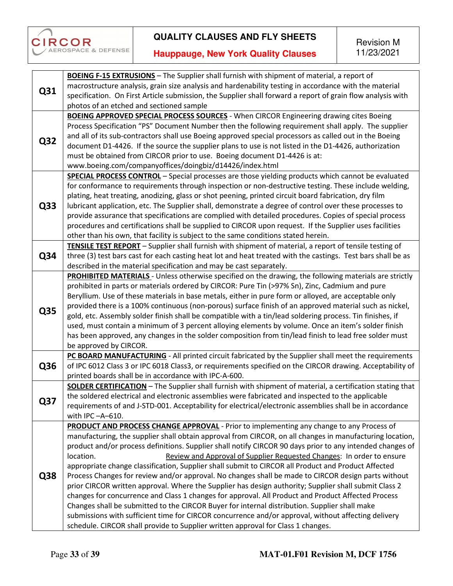

**Hauppauge, New York Quality Clauses** 

Revision M 11/23/2021

| macrostructure analysis, grain size analysis and hardenability testing in accordance with the material<br>Q31<br>specification. On First Article submission, the Supplier shall forward a report of grain flow analysis with<br>photos of an etched and sectioned sample<br><b>BOEING APPROVED SPECIAL PROCESS SOURCES</b> - When CIRCOR Engineering drawing cites Boeing<br>Process Specification "PS" Document Number then the following requirement shall apply. The supplier<br>and all of its sub-contractors shall use Boeing approved special processors as called out in the Boeing<br>Q32<br>document D1-4426. If the source the supplier plans to use is not listed in the D1-4426, authorization<br>must be obtained from CIRCOR prior to use. Boeing document D1-4426 is at:<br>www.boeing.com/companyoffices/doingbiz/d14426/index.html<br><b>SPECIAL PROCESS CONTROL</b> - Special processes are those yielding products which cannot be evaluated<br>for conformance to requirements through inspection or non-destructive testing. These include welding,<br>plating, heat treating, anodizing, glass or shot peening, printed circuit board fabrication, dry film<br>Q33<br>lubricant application, etc. The Supplier shall, demonstrate a degree of control over these processes to<br>provide assurance that specifications are complied with detailed procedures. Copies of special process<br>procedures and certifications shall be supplied to CIRCOR upon request. If the Supplier uses facilities<br>other than his own, that facility is subject to the same conditions stated herein.<br>TENSILE TEST REPORT - Supplier shall furnish with shipment of material, a report of tensile testing of<br>Q34<br>three (3) test bars cast for each casting heat lot and heat treated with the castings. Test bars shall be as<br>described in the material specification and may be cast separately.<br>PROHIBITED MATERIALS - Unless otherwise specified on the drawing, the following materials are strictly<br>prohibited in parts or materials ordered by CIRCOR: Pure Tin (>97% Sn), Zinc, Cadmium and pure<br>Beryllium. Use of these materials in base metals, either in pure form or alloyed, are acceptable only<br>provided there is a 100% continuous (non-porous) surface finish of an approved material such as nickel,<br>Q35<br>gold, etc. Assembly solder finish shall be compatible with a tin/lead soldering process. Tin finishes, if<br>used, must contain a minimum of 3 percent alloying elements by volume. Once an item's solder finish<br>has been approved, any changes in the solder composition from tin/lead finish to lead free solder must<br>be approved by CIRCOR.<br>PC BOARD MANUFACTURING - All printed circuit fabricated by the Supplier shall meet the requirements<br>Q36<br>of IPC 6012 Class 3 or IPC 6018 Class3, or requirements specified on the CIRCOR drawing. Acceptability of<br>printed boards shall be in accordance with IPC-A-600.<br>SOLDER CERTIFICATION - The Supplier shall furnish with shipment of material, a certification stating that<br>the soldered electrical and electronic assemblies were fabricated and inspected to the applicable<br>Q37<br>requirements of and J-STD-001. Acceptability for electrical/electronic assemblies shall be in accordance<br>with IPC-A-610.<br><b>PRODUCT AND PROCESS CHANGE APPROVAL</b> - Prior to implementing any change to any Process of<br>manufacturing, the supplier shall obtain approval from CIRCOR, on all changes in manufacturing location,<br>product and/or process definitions. Supplier shall notify CIRCOR 90 days prior to any intended changes of<br>Review and Approval of Supplier Requested Changes: In order to ensure<br>location.<br>appropriate change classification, Supplier shall submit to CIRCOR all Product and Product Affected<br>Q38<br>Process Changes for review and/or approval. No changes shall be made to CIRCOR design parts without |  | <b>BOEING F-15 EXTRUSIONS</b> - The Supplier shall furnish with shipment of material, a report of     |
|-----------------------------------------------------------------------------------------------------------------------------------------------------------------------------------------------------------------------------------------------------------------------------------------------------------------------------------------------------------------------------------------------------------------------------------------------------------------------------------------------------------------------------------------------------------------------------------------------------------------------------------------------------------------------------------------------------------------------------------------------------------------------------------------------------------------------------------------------------------------------------------------------------------------------------------------------------------------------------------------------------------------------------------------------------------------------------------------------------------------------------------------------------------------------------------------------------------------------------------------------------------------------------------------------------------------------------------------------------------------------------------------------------------------------------------------------------------------------------------------------------------------------------------------------------------------------------------------------------------------------------------------------------------------------------------------------------------------------------------------------------------------------------------------------------------------------------------------------------------------------------------------------------------------------------------------------------------------------------------------------------------------------------------------------------------------------------------------------------------------------------------------------------------------------------------------------------------------------------------------------------------------------------------------------------------------------------------------------------------------------------------------------------------------------------------------------------------------------------------------------------------------------------------------------------------------------------------------------------------------------------------------------------------------------------------------------------------------------------------------------------------------------------------------------------------------------------------------------------------------------------------------------------------------------------------------------------------------------------------------------------------------------------------------------------------------------------------------------------------------------------------------------------------------------------------------------------------------------------------------------------------------------------------------------------------------------------------------------------------------------------------------------------------------------------------------------------------------------------------------------------------------------------------------------------------------------------------------------------------------------------------------------------------------------------------------------------------------------------------------------------------------------------------------------------------------------------------------------------------------------------------------------------------------------------------------------------------------------------------------------------------|--|-------------------------------------------------------------------------------------------------------|
|                                                                                                                                                                                                                                                                                                                                                                                                                                                                                                                                                                                                                                                                                                                                                                                                                                                                                                                                                                                                                                                                                                                                                                                                                                                                                                                                                                                                                                                                                                                                                                                                                                                                                                                                                                                                                                                                                                                                                                                                                                                                                                                                                                                                                                                                                                                                                                                                                                                                                                                                                                                                                                                                                                                                                                                                                                                                                                                                                                                                                                                                                                                                                                                                                                                                                                                                                                                                                                                                                                                                                                                                                                                                                                                                                                                                                                                                                                                                                                                                           |  |                                                                                                       |
|                                                                                                                                                                                                                                                                                                                                                                                                                                                                                                                                                                                                                                                                                                                                                                                                                                                                                                                                                                                                                                                                                                                                                                                                                                                                                                                                                                                                                                                                                                                                                                                                                                                                                                                                                                                                                                                                                                                                                                                                                                                                                                                                                                                                                                                                                                                                                                                                                                                                                                                                                                                                                                                                                                                                                                                                                                                                                                                                                                                                                                                                                                                                                                                                                                                                                                                                                                                                                                                                                                                                                                                                                                                                                                                                                                                                                                                                                                                                                                                                           |  |                                                                                                       |
|                                                                                                                                                                                                                                                                                                                                                                                                                                                                                                                                                                                                                                                                                                                                                                                                                                                                                                                                                                                                                                                                                                                                                                                                                                                                                                                                                                                                                                                                                                                                                                                                                                                                                                                                                                                                                                                                                                                                                                                                                                                                                                                                                                                                                                                                                                                                                                                                                                                                                                                                                                                                                                                                                                                                                                                                                                                                                                                                                                                                                                                                                                                                                                                                                                                                                                                                                                                                                                                                                                                                                                                                                                                                                                                                                                                                                                                                                                                                                                                                           |  |                                                                                                       |
|                                                                                                                                                                                                                                                                                                                                                                                                                                                                                                                                                                                                                                                                                                                                                                                                                                                                                                                                                                                                                                                                                                                                                                                                                                                                                                                                                                                                                                                                                                                                                                                                                                                                                                                                                                                                                                                                                                                                                                                                                                                                                                                                                                                                                                                                                                                                                                                                                                                                                                                                                                                                                                                                                                                                                                                                                                                                                                                                                                                                                                                                                                                                                                                                                                                                                                                                                                                                                                                                                                                                                                                                                                                                                                                                                                                                                                                                                                                                                                                                           |  |                                                                                                       |
|                                                                                                                                                                                                                                                                                                                                                                                                                                                                                                                                                                                                                                                                                                                                                                                                                                                                                                                                                                                                                                                                                                                                                                                                                                                                                                                                                                                                                                                                                                                                                                                                                                                                                                                                                                                                                                                                                                                                                                                                                                                                                                                                                                                                                                                                                                                                                                                                                                                                                                                                                                                                                                                                                                                                                                                                                                                                                                                                                                                                                                                                                                                                                                                                                                                                                                                                                                                                                                                                                                                                                                                                                                                                                                                                                                                                                                                                                                                                                                                                           |  |                                                                                                       |
|                                                                                                                                                                                                                                                                                                                                                                                                                                                                                                                                                                                                                                                                                                                                                                                                                                                                                                                                                                                                                                                                                                                                                                                                                                                                                                                                                                                                                                                                                                                                                                                                                                                                                                                                                                                                                                                                                                                                                                                                                                                                                                                                                                                                                                                                                                                                                                                                                                                                                                                                                                                                                                                                                                                                                                                                                                                                                                                                                                                                                                                                                                                                                                                                                                                                                                                                                                                                                                                                                                                                                                                                                                                                                                                                                                                                                                                                                                                                                                                                           |  |                                                                                                       |
|                                                                                                                                                                                                                                                                                                                                                                                                                                                                                                                                                                                                                                                                                                                                                                                                                                                                                                                                                                                                                                                                                                                                                                                                                                                                                                                                                                                                                                                                                                                                                                                                                                                                                                                                                                                                                                                                                                                                                                                                                                                                                                                                                                                                                                                                                                                                                                                                                                                                                                                                                                                                                                                                                                                                                                                                                                                                                                                                                                                                                                                                                                                                                                                                                                                                                                                                                                                                                                                                                                                                                                                                                                                                                                                                                                                                                                                                                                                                                                                                           |  |                                                                                                       |
|                                                                                                                                                                                                                                                                                                                                                                                                                                                                                                                                                                                                                                                                                                                                                                                                                                                                                                                                                                                                                                                                                                                                                                                                                                                                                                                                                                                                                                                                                                                                                                                                                                                                                                                                                                                                                                                                                                                                                                                                                                                                                                                                                                                                                                                                                                                                                                                                                                                                                                                                                                                                                                                                                                                                                                                                                                                                                                                                                                                                                                                                                                                                                                                                                                                                                                                                                                                                                                                                                                                                                                                                                                                                                                                                                                                                                                                                                                                                                                                                           |  |                                                                                                       |
|                                                                                                                                                                                                                                                                                                                                                                                                                                                                                                                                                                                                                                                                                                                                                                                                                                                                                                                                                                                                                                                                                                                                                                                                                                                                                                                                                                                                                                                                                                                                                                                                                                                                                                                                                                                                                                                                                                                                                                                                                                                                                                                                                                                                                                                                                                                                                                                                                                                                                                                                                                                                                                                                                                                                                                                                                                                                                                                                                                                                                                                                                                                                                                                                                                                                                                                                                                                                                                                                                                                                                                                                                                                                                                                                                                                                                                                                                                                                                                                                           |  |                                                                                                       |
|                                                                                                                                                                                                                                                                                                                                                                                                                                                                                                                                                                                                                                                                                                                                                                                                                                                                                                                                                                                                                                                                                                                                                                                                                                                                                                                                                                                                                                                                                                                                                                                                                                                                                                                                                                                                                                                                                                                                                                                                                                                                                                                                                                                                                                                                                                                                                                                                                                                                                                                                                                                                                                                                                                                                                                                                                                                                                                                                                                                                                                                                                                                                                                                                                                                                                                                                                                                                                                                                                                                                                                                                                                                                                                                                                                                                                                                                                                                                                                                                           |  |                                                                                                       |
|                                                                                                                                                                                                                                                                                                                                                                                                                                                                                                                                                                                                                                                                                                                                                                                                                                                                                                                                                                                                                                                                                                                                                                                                                                                                                                                                                                                                                                                                                                                                                                                                                                                                                                                                                                                                                                                                                                                                                                                                                                                                                                                                                                                                                                                                                                                                                                                                                                                                                                                                                                                                                                                                                                                                                                                                                                                                                                                                                                                                                                                                                                                                                                                                                                                                                                                                                                                                                                                                                                                                                                                                                                                                                                                                                                                                                                                                                                                                                                                                           |  |                                                                                                       |
|                                                                                                                                                                                                                                                                                                                                                                                                                                                                                                                                                                                                                                                                                                                                                                                                                                                                                                                                                                                                                                                                                                                                                                                                                                                                                                                                                                                                                                                                                                                                                                                                                                                                                                                                                                                                                                                                                                                                                                                                                                                                                                                                                                                                                                                                                                                                                                                                                                                                                                                                                                                                                                                                                                                                                                                                                                                                                                                                                                                                                                                                                                                                                                                                                                                                                                                                                                                                                                                                                                                                                                                                                                                                                                                                                                                                                                                                                                                                                                                                           |  |                                                                                                       |
|                                                                                                                                                                                                                                                                                                                                                                                                                                                                                                                                                                                                                                                                                                                                                                                                                                                                                                                                                                                                                                                                                                                                                                                                                                                                                                                                                                                                                                                                                                                                                                                                                                                                                                                                                                                                                                                                                                                                                                                                                                                                                                                                                                                                                                                                                                                                                                                                                                                                                                                                                                                                                                                                                                                                                                                                                                                                                                                                                                                                                                                                                                                                                                                                                                                                                                                                                                                                                                                                                                                                                                                                                                                                                                                                                                                                                                                                                                                                                                                                           |  |                                                                                                       |
|                                                                                                                                                                                                                                                                                                                                                                                                                                                                                                                                                                                                                                                                                                                                                                                                                                                                                                                                                                                                                                                                                                                                                                                                                                                                                                                                                                                                                                                                                                                                                                                                                                                                                                                                                                                                                                                                                                                                                                                                                                                                                                                                                                                                                                                                                                                                                                                                                                                                                                                                                                                                                                                                                                                                                                                                                                                                                                                                                                                                                                                                                                                                                                                                                                                                                                                                                                                                                                                                                                                                                                                                                                                                                                                                                                                                                                                                                                                                                                                                           |  |                                                                                                       |
|                                                                                                                                                                                                                                                                                                                                                                                                                                                                                                                                                                                                                                                                                                                                                                                                                                                                                                                                                                                                                                                                                                                                                                                                                                                                                                                                                                                                                                                                                                                                                                                                                                                                                                                                                                                                                                                                                                                                                                                                                                                                                                                                                                                                                                                                                                                                                                                                                                                                                                                                                                                                                                                                                                                                                                                                                                                                                                                                                                                                                                                                                                                                                                                                                                                                                                                                                                                                                                                                                                                                                                                                                                                                                                                                                                                                                                                                                                                                                                                                           |  |                                                                                                       |
|                                                                                                                                                                                                                                                                                                                                                                                                                                                                                                                                                                                                                                                                                                                                                                                                                                                                                                                                                                                                                                                                                                                                                                                                                                                                                                                                                                                                                                                                                                                                                                                                                                                                                                                                                                                                                                                                                                                                                                                                                                                                                                                                                                                                                                                                                                                                                                                                                                                                                                                                                                                                                                                                                                                                                                                                                                                                                                                                                                                                                                                                                                                                                                                                                                                                                                                                                                                                                                                                                                                                                                                                                                                                                                                                                                                                                                                                                                                                                                                                           |  |                                                                                                       |
|                                                                                                                                                                                                                                                                                                                                                                                                                                                                                                                                                                                                                                                                                                                                                                                                                                                                                                                                                                                                                                                                                                                                                                                                                                                                                                                                                                                                                                                                                                                                                                                                                                                                                                                                                                                                                                                                                                                                                                                                                                                                                                                                                                                                                                                                                                                                                                                                                                                                                                                                                                                                                                                                                                                                                                                                                                                                                                                                                                                                                                                                                                                                                                                                                                                                                                                                                                                                                                                                                                                                                                                                                                                                                                                                                                                                                                                                                                                                                                                                           |  |                                                                                                       |
|                                                                                                                                                                                                                                                                                                                                                                                                                                                                                                                                                                                                                                                                                                                                                                                                                                                                                                                                                                                                                                                                                                                                                                                                                                                                                                                                                                                                                                                                                                                                                                                                                                                                                                                                                                                                                                                                                                                                                                                                                                                                                                                                                                                                                                                                                                                                                                                                                                                                                                                                                                                                                                                                                                                                                                                                                                                                                                                                                                                                                                                                                                                                                                                                                                                                                                                                                                                                                                                                                                                                                                                                                                                                                                                                                                                                                                                                                                                                                                                                           |  |                                                                                                       |
|                                                                                                                                                                                                                                                                                                                                                                                                                                                                                                                                                                                                                                                                                                                                                                                                                                                                                                                                                                                                                                                                                                                                                                                                                                                                                                                                                                                                                                                                                                                                                                                                                                                                                                                                                                                                                                                                                                                                                                                                                                                                                                                                                                                                                                                                                                                                                                                                                                                                                                                                                                                                                                                                                                                                                                                                                                                                                                                                                                                                                                                                                                                                                                                                                                                                                                                                                                                                                                                                                                                                                                                                                                                                                                                                                                                                                                                                                                                                                                                                           |  |                                                                                                       |
|                                                                                                                                                                                                                                                                                                                                                                                                                                                                                                                                                                                                                                                                                                                                                                                                                                                                                                                                                                                                                                                                                                                                                                                                                                                                                                                                                                                                                                                                                                                                                                                                                                                                                                                                                                                                                                                                                                                                                                                                                                                                                                                                                                                                                                                                                                                                                                                                                                                                                                                                                                                                                                                                                                                                                                                                                                                                                                                                                                                                                                                                                                                                                                                                                                                                                                                                                                                                                                                                                                                                                                                                                                                                                                                                                                                                                                                                                                                                                                                                           |  |                                                                                                       |
|                                                                                                                                                                                                                                                                                                                                                                                                                                                                                                                                                                                                                                                                                                                                                                                                                                                                                                                                                                                                                                                                                                                                                                                                                                                                                                                                                                                                                                                                                                                                                                                                                                                                                                                                                                                                                                                                                                                                                                                                                                                                                                                                                                                                                                                                                                                                                                                                                                                                                                                                                                                                                                                                                                                                                                                                                                                                                                                                                                                                                                                                                                                                                                                                                                                                                                                                                                                                                                                                                                                                                                                                                                                                                                                                                                                                                                                                                                                                                                                                           |  |                                                                                                       |
|                                                                                                                                                                                                                                                                                                                                                                                                                                                                                                                                                                                                                                                                                                                                                                                                                                                                                                                                                                                                                                                                                                                                                                                                                                                                                                                                                                                                                                                                                                                                                                                                                                                                                                                                                                                                                                                                                                                                                                                                                                                                                                                                                                                                                                                                                                                                                                                                                                                                                                                                                                                                                                                                                                                                                                                                                                                                                                                                                                                                                                                                                                                                                                                                                                                                                                                                                                                                                                                                                                                                                                                                                                                                                                                                                                                                                                                                                                                                                                                                           |  |                                                                                                       |
|                                                                                                                                                                                                                                                                                                                                                                                                                                                                                                                                                                                                                                                                                                                                                                                                                                                                                                                                                                                                                                                                                                                                                                                                                                                                                                                                                                                                                                                                                                                                                                                                                                                                                                                                                                                                                                                                                                                                                                                                                                                                                                                                                                                                                                                                                                                                                                                                                                                                                                                                                                                                                                                                                                                                                                                                                                                                                                                                                                                                                                                                                                                                                                                                                                                                                                                                                                                                                                                                                                                                                                                                                                                                                                                                                                                                                                                                                                                                                                                                           |  |                                                                                                       |
|                                                                                                                                                                                                                                                                                                                                                                                                                                                                                                                                                                                                                                                                                                                                                                                                                                                                                                                                                                                                                                                                                                                                                                                                                                                                                                                                                                                                                                                                                                                                                                                                                                                                                                                                                                                                                                                                                                                                                                                                                                                                                                                                                                                                                                                                                                                                                                                                                                                                                                                                                                                                                                                                                                                                                                                                                                                                                                                                                                                                                                                                                                                                                                                                                                                                                                                                                                                                                                                                                                                                                                                                                                                                                                                                                                                                                                                                                                                                                                                                           |  |                                                                                                       |
|                                                                                                                                                                                                                                                                                                                                                                                                                                                                                                                                                                                                                                                                                                                                                                                                                                                                                                                                                                                                                                                                                                                                                                                                                                                                                                                                                                                                                                                                                                                                                                                                                                                                                                                                                                                                                                                                                                                                                                                                                                                                                                                                                                                                                                                                                                                                                                                                                                                                                                                                                                                                                                                                                                                                                                                                                                                                                                                                                                                                                                                                                                                                                                                                                                                                                                                                                                                                                                                                                                                                                                                                                                                                                                                                                                                                                                                                                                                                                                                                           |  |                                                                                                       |
|                                                                                                                                                                                                                                                                                                                                                                                                                                                                                                                                                                                                                                                                                                                                                                                                                                                                                                                                                                                                                                                                                                                                                                                                                                                                                                                                                                                                                                                                                                                                                                                                                                                                                                                                                                                                                                                                                                                                                                                                                                                                                                                                                                                                                                                                                                                                                                                                                                                                                                                                                                                                                                                                                                                                                                                                                                                                                                                                                                                                                                                                                                                                                                                                                                                                                                                                                                                                                                                                                                                                                                                                                                                                                                                                                                                                                                                                                                                                                                                                           |  |                                                                                                       |
|                                                                                                                                                                                                                                                                                                                                                                                                                                                                                                                                                                                                                                                                                                                                                                                                                                                                                                                                                                                                                                                                                                                                                                                                                                                                                                                                                                                                                                                                                                                                                                                                                                                                                                                                                                                                                                                                                                                                                                                                                                                                                                                                                                                                                                                                                                                                                                                                                                                                                                                                                                                                                                                                                                                                                                                                                                                                                                                                                                                                                                                                                                                                                                                                                                                                                                                                                                                                                                                                                                                                                                                                                                                                                                                                                                                                                                                                                                                                                                                                           |  |                                                                                                       |
|                                                                                                                                                                                                                                                                                                                                                                                                                                                                                                                                                                                                                                                                                                                                                                                                                                                                                                                                                                                                                                                                                                                                                                                                                                                                                                                                                                                                                                                                                                                                                                                                                                                                                                                                                                                                                                                                                                                                                                                                                                                                                                                                                                                                                                                                                                                                                                                                                                                                                                                                                                                                                                                                                                                                                                                                                                                                                                                                                                                                                                                                                                                                                                                                                                                                                                                                                                                                                                                                                                                                                                                                                                                                                                                                                                                                                                                                                                                                                                                                           |  |                                                                                                       |
|                                                                                                                                                                                                                                                                                                                                                                                                                                                                                                                                                                                                                                                                                                                                                                                                                                                                                                                                                                                                                                                                                                                                                                                                                                                                                                                                                                                                                                                                                                                                                                                                                                                                                                                                                                                                                                                                                                                                                                                                                                                                                                                                                                                                                                                                                                                                                                                                                                                                                                                                                                                                                                                                                                                                                                                                                                                                                                                                                                                                                                                                                                                                                                                                                                                                                                                                                                                                                                                                                                                                                                                                                                                                                                                                                                                                                                                                                                                                                                                                           |  |                                                                                                       |
|                                                                                                                                                                                                                                                                                                                                                                                                                                                                                                                                                                                                                                                                                                                                                                                                                                                                                                                                                                                                                                                                                                                                                                                                                                                                                                                                                                                                                                                                                                                                                                                                                                                                                                                                                                                                                                                                                                                                                                                                                                                                                                                                                                                                                                                                                                                                                                                                                                                                                                                                                                                                                                                                                                                                                                                                                                                                                                                                                                                                                                                                                                                                                                                                                                                                                                                                                                                                                                                                                                                                                                                                                                                                                                                                                                                                                                                                                                                                                                                                           |  |                                                                                                       |
|                                                                                                                                                                                                                                                                                                                                                                                                                                                                                                                                                                                                                                                                                                                                                                                                                                                                                                                                                                                                                                                                                                                                                                                                                                                                                                                                                                                                                                                                                                                                                                                                                                                                                                                                                                                                                                                                                                                                                                                                                                                                                                                                                                                                                                                                                                                                                                                                                                                                                                                                                                                                                                                                                                                                                                                                                                                                                                                                                                                                                                                                                                                                                                                                                                                                                                                                                                                                                                                                                                                                                                                                                                                                                                                                                                                                                                                                                                                                                                                                           |  |                                                                                                       |
|                                                                                                                                                                                                                                                                                                                                                                                                                                                                                                                                                                                                                                                                                                                                                                                                                                                                                                                                                                                                                                                                                                                                                                                                                                                                                                                                                                                                                                                                                                                                                                                                                                                                                                                                                                                                                                                                                                                                                                                                                                                                                                                                                                                                                                                                                                                                                                                                                                                                                                                                                                                                                                                                                                                                                                                                                                                                                                                                                                                                                                                                                                                                                                                                                                                                                                                                                                                                                                                                                                                                                                                                                                                                                                                                                                                                                                                                                                                                                                                                           |  |                                                                                                       |
|                                                                                                                                                                                                                                                                                                                                                                                                                                                                                                                                                                                                                                                                                                                                                                                                                                                                                                                                                                                                                                                                                                                                                                                                                                                                                                                                                                                                                                                                                                                                                                                                                                                                                                                                                                                                                                                                                                                                                                                                                                                                                                                                                                                                                                                                                                                                                                                                                                                                                                                                                                                                                                                                                                                                                                                                                                                                                                                                                                                                                                                                                                                                                                                                                                                                                                                                                                                                                                                                                                                                                                                                                                                                                                                                                                                                                                                                                                                                                                                                           |  |                                                                                                       |
|                                                                                                                                                                                                                                                                                                                                                                                                                                                                                                                                                                                                                                                                                                                                                                                                                                                                                                                                                                                                                                                                                                                                                                                                                                                                                                                                                                                                                                                                                                                                                                                                                                                                                                                                                                                                                                                                                                                                                                                                                                                                                                                                                                                                                                                                                                                                                                                                                                                                                                                                                                                                                                                                                                                                                                                                                                                                                                                                                                                                                                                                                                                                                                                                                                                                                                                                                                                                                                                                                                                                                                                                                                                                                                                                                                                                                                                                                                                                                                                                           |  |                                                                                                       |
|                                                                                                                                                                                                                                                                                                                                                                                                                                                                                                                                                                                                                                                                                                                                                                                                                                                                                                                                                                                                                                                                                                                                                                                                                                                                                                                                                                                                                                                                                                                                                                                                                                                                                                                                                                                                                                                                                                                                                                                                                                                                                                                                                                                                                                                                                                                                                                                                                                                                                                                                                                                                                                                                                                                                                                                                                                                                                                                                                                                                                                                                                                                                                                                                                                                                                                                                                                                                                                                                                                                                                                                                                                                                                                                                                                                                                                                                                                                                                                                                           |  |                                                                                                       |
|                                                                                                                                                                                                                                                                                                                                                                                                                                                                                                                                                                                                                                                                                                                                                                                                                                                                                                                                                                                                                                                                                                                                                                                                                                                                                                                                                                                                                                                                                                                                                                                                                                                                                                                                                                                                                                                                                                                                                                                                                                                                                                                                                                                                                                                                                                                                                                                                                                                                                                                                                                                                                                                                                                                                                                                                                                                                                                                                                                                                                                                                                                                                                                                                                                                                                                                                                                                                                                                                                                                                                                                                                                                                                                                                                                                                                                                                                                                                                                                                           |  |                                                                                                       |
|                                                                                                                                                                                                                                                                                                                                                                                                                                                                                                                                                                                                                                                                                                                                                                                                                                                                                                                                                                                                                                                                                                                                                                                                                                                                                                                                                                                                                                                                                                                                                                                                                                                                                                                                                                                                                                                                                                                                                                                                                                                                                                                                                                                                                                                                                                                                                                                                                                                                                                                                                                                                                                                                                                                                                                                                                                                                                                                                                                                                                                                                                                                                                                                                                                                                                                                                                                                                                                                                                                                                                                                                                                                                                                                                                                                                                                                                                                                                                                                                           |  |                                                                                                       |
|                                                                                                                                                                                                                                                                                                                                                                                                                                                                                                                                                                                                                                                                                                                                                                                                                                                                                                                                                                                                                                                                                                                                                                                                                                                                                                                                                                                                                                                                                                                                                                                                                                                                                                                                                                                                                                                                                                                                                                                                                                                                                                                                                                                                                                                                                                                                                                                                                                                                                                                                                                                                                                                                                                                                                                                                                                                                                                                                                                                                                                                                                                                                                                                                                                                                                                                                                                                                                                                                                                                                                                                                                                                                                                                                                                                                                                                                                                                                                                                                           |  |                                                                                                       |
|                                                                                                                                                                                                                                                                                                                                                                                                                                                                                                                                                                                                                                                                                                                                                                                                                                                                                                                                                                                                                                                                                                                                                                                                                                                                                                                                                                                                                                                                                                                                                                                                                                                                                                                                                                                                                                                                                                                                                                                                                                                                                                                                                                                                                                                                                                                                                                                                                                                                                                                                                                                                                                                                                                                                                                                                                                                                                                                                                                                                                                                                                                                                                                                                                                                                                                                                                                                                                                                                                                                                                                                                                                                                                                                                                                                                                                                                                                                                                                                                           |  |                                                                                                       |
|                                                                                                                                                                                                                                                                                                                                                                                                                                                                                                                                                                                                                                                                                                                                                                                                                                                                                                                                                                                                                                                                                                                                                                                                                                                                                                                                                                                                                                                                                                                                                                                                                                                                                                                                                                                                                                                                                                                                                                                                                                                                                                                                                                                                                                                                                                                                                                                                                                                                                                                                                                                                                                                                                                                                                                                                                                                                                                                                                                                                                                                                                                                                                                                                                                                                                                                                                                                                                                                                                                                                                                                                                                                                                                                                                                                                                                                                                                                                                                                                           |  |                                                                                                       |
|                                                                                                                                                                                                                                                                                                                                                                                                                                                                                                                                                                                                                                                                                                                                                                                                                                                                                                                                                                                                                                                                                                                                                                                                                                                                                                                                                                                                                                                                                                                                                                                                                                                                                                                                                                                                                                                                                                                                                                                                                                                                                                                                                                                                                                                                                                                                                                                                                                                                                                                                                                                                                                                                                                                                                                                                                                                                                                                                                                                                                                                                                                                                                                                                                                                                                                                                                                                                                                                                                                                                                                                                                                                                                                                                                                                                                                                                                                                                                                                                           |  | prior CIRCOR written approval. Where the Supplier has design authority; Supplier shall submit Class 2 |
| changes for concurrence and Class 1 changes for approval. All Product and Product Affected Process                                                                                                                                                                                                                                                                                                                                                                                                                                                                                                                                                                                                                                                                                                                                                                                                                                                                                                                                                                                                                                                                                                                                                                                                                                                                                                                                                                                                                                                                                                                                                                                                                                                                                                                                                                                                                                                                                                                                                                                                                                                                                                                                                                                                                                                                                                                                                                                                                                                                                                                                                                                                                                                                                                                                                                                                                                                                                                                                                                                                                                                                                                                                                                                                                                                                                                                                                                                                                                                                                                                                                                                                                                                                                                                                                                                                                                                                                                        |  |                                                                                                       |
| Changes shall be submitted to the CIRCOR Buyer for internal distribution. Supplier shall make                                                                                                                                                                                                                                                                                                                                                                                                                                                                                                                                                                                                                                                                                                                                                                                                                                                                                                                                                                                                                                                                                                                                                                                                                                                                                                                                                                                                                                                                                                                                                                                                                                                                                                                                                                                                                                                                                                                                                                                                                                                                                                                                                                                                                                                                                                                                                                                                                                                                                                                                                                                                                                                                                                                                                                                                                                                                                                                                                                                                                                                                                                                                                                                                                                                                                                                                                                                                                                                                                                                                                                                                                                                                                                                                                                                                                                                                                                             |  |                                                                                                       |
| submissions with sufficient time for CIRCOR concurrence and/or approval, without affecting delivery                                                                                                                                                                                                                                                                                                                                                                                                                                                                                                                                                                                                                                                                                                                                                                                                                                                                                                                                                                                                                                                                                                                                                                                                                                                                                                                                                                                                                                                                                                                                                                                                                                                                                                                                                                                                                                                                                                                                                                                                                                                                                                                                                                                                                                                                                                                                                                                                                                                                                                                                                                                                                                                                                                                                                                                                                                                                                                                                                                                                                                                                                                                                                                                                                                                                                                                                                                                                                                                                                                                                                                                                                                                                                                                                                                                                                                                                                                       |  |                                                                                                       |
| schedule. CIRCOR shall provide to Supplier written approval for Class 1 changes.                                                                                                                                                                                                                                                                                                                                                                                                                                                                                                                                                                                                                                                                                                                                                                                                                                                                                                                                                                                                                                                                                                                                                                                                                                                                                                                                                                                                                                                                                                                                                                                                                                                                                                                                                                                                                                                                                                                                                                                                                                                                                                                                                                                                                                                                                                                                                                                                                                                                                                                                                                                                                                                                                                                                                                                                                                                                                                                                                                                                                                                                                                                                                                                                                                                                                                                                                                                                                                                                                                                                                                                                                                                                                                                                                                                                                                                                                                                          |  |                                                                                                       |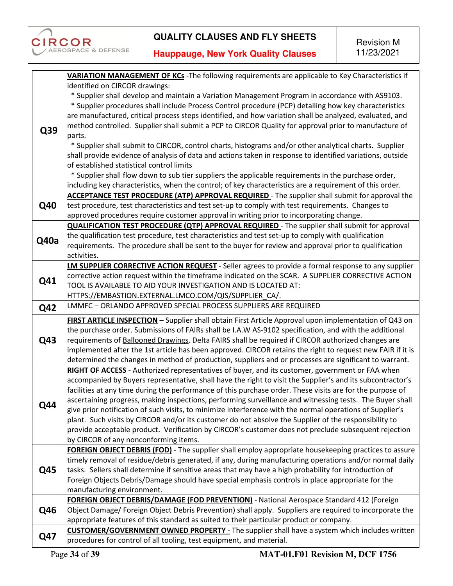

|            | VARIATION MANAGEMENT OF KCs - The following requirements are applicable to Key Characteristics if                                                                           |
|------------|-----------------------------------------------------------------------------------------------------------------------------------------------------------------------------|
|            | identified on CIRCOR drawings:                                                                                                                                              |
|            | * Supplier shall develop and maintain a Variation Management Program in accordance with AS9103.                                                                             |
|            | * Supplier procedures shall include Process Control procedure (PCP) detailing how key characteristics                                                                       |
|            | are manufactured, critical process steps identified, and how variation shall be analyzed, evaluated, and                                                                    |
|            | method controlled. Supplier shall submit a PCP to CIRCOR Quality for approval prior to manufacture of                                                                       |
| Q39        | parts.                                                                                                                                                                      |
|            | * Supplier shall submit to CIRCOR, control charts, histograms and/or other analytical charts. Supplier                                                                      |
|            | shall provide evidence of analysis of data and actions taken in response to identified variations, outside                                                                  |
|            | of established statistical control limits                                                                                                                                   |
|            | * Supplier shall flow down to sub tier suppliers the applicable requirements in the purchase order,                                                                         |
|            | including key characteristics, when the control; of key characteristics are a requirement of this order.                                                                    |
|            | <b>ACCEPTANCE TEST PROCEDURE (ATP) APPROVAL REQUIRED</b> - The supplier shall submit for approval the                                                                       |
| <b>Q40</b> | test procedure, test characteristics and test set-up to comply with test requirements. Changes to                                                                           |
|            | approved procedures require customer approval in writing prior to incorporating change.                                                                                     |
|            |                                                                                                                                                                             |
|            | <b>QUALIFICATION TEST PROCEDURE (QTP) APPROVAL REQUIRED</b> - The supplier shall submit for approval                                                                        |
| Q40a       | the qualification test procedure, test characteristics and test set-up to comply with qualification                                                                         |
|            | requirements. The procedure shall be sent to the buyer for review and approval prior to qualification                                                                       |
|            | activities.                                                                                                                                                                 |
|            | LM SUPPLIER CORRECTIVE ACTION REQUEST - Seller agrees to provide a formal response to any supplier                                                                          |
| Q41        | corrective action request within the timeframe indicated on the SCAR. A SUPPLIER CORRECTIVE ACTION                                                                          |
|            | TOOL IS AVAILABLE TO AID YOUR INVESTIGATION AND IS LOCATED AT:                                                                                                              |
|            | HTTPS://EMBASTION.EXTERNAL.LMCO.COM/QIS/SUPPLIER CA/.                                                                                                                       |
| Q42        | LMMFC - ORLANDO APPROVED SPECIAL PROCESS SUPPLIERS ARE REQUIRED                                                                                                             |
|            | FIRST ARTICLE INSPECTION - Supplier shall obtain First Article Approval upon implementation of Q43 on                                                                       |
|            | the purchase order. Submissions of FAIRs shall be I.A.W AS-9102 specification, and with the additional                                                                      |
| Q43        | requirements of Ballooned Drawings. Delta FAIRS shall be required if CIRCOR authorized changes are                                                                          |
|            | implemented after the 1st article has been approved. CIRCOR retains the right to request new FAIR if it is                                                                  |
|            | determined the changes in method of production, suppliers and or processes are significant to warrant.                                                                      |
|            | RIGHT OF ACCESS - Authorized representatives of buyer, and its customer, government or FAA when                                                                             |
|            | accompanied by Buyers representative, shall have the right to visit the Supplier's and its subcontractor's                                                                  |
|            | facilities at any time during the performance of this purchase order. These visits are for the purpose of                                                                   |
| Q44        | ascertaining progress, making inspections, performing surveillance and witnessing tests. The Buyer shall                                                                    |
|            | give prior notification of such visits, to minimize interference with the normal operations of Supplier's                                                                   |
|            | plant. Such visits by CIRCOR and/or its customer do not absolve the Supplier of the responsibility to                                                                       |
|            | provide acceptable product. Verification by CIRCOR's customer does not preclude subsequent rejection                                                                        |
|            | by CIRCOR of any nonconforming items.                                                                                                                                       |
|            | FOREIGN OBJECT DEBRIS (FOD) - The supplier shall employ appropriate housekeeping practices to assure                                                                        |
|            | timely removal of residue/debris generated, if any, during manufacturing operations and/or normal daily                                                                     |
| Q45        | tasks. Sellers shall determine if sensitive areas that may have a high probability for introduction of                                                                      |
|            | Foreign Objects Debris/Damage should have special emphasis controls in place appropriate for the                                                                            |
|            | manufacturing environment.                                                                                                                                                  |
|            | FOREIGN OBJECT DEBRIS/DAMAGE (FOD PREVENTION) - National Aerospace Standard 412 (Foreign                                                                                    |
| Q46        | Object Damage/ Foreign Object Debris Prevention) shall apply. Suppliers are required to incorporate the                                                                     |
|            | appropriate features of this standard as suited to their particular product or company.                                                                                     |
|            |                                                                                                                                                                             |
| Q47        | <b>CUSTOMER/GOVERNMENT OWNED PROPERTY</b> - The supplier shall have a system which includes written<br>procedures for control of all tooling, test equipment, and material. |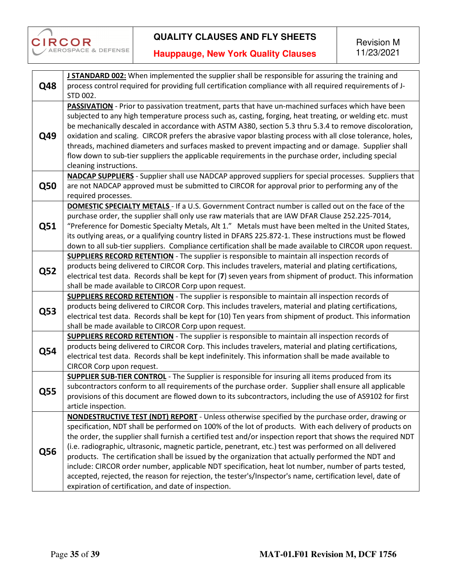

| Q48        | J STANDARD 002: When implemented the supplier shall be responsible for assuring the training and                                                                                                                   |
|------------|--------------------------------------------------------------------------------------------------------------------------------------------------------------------------------------------------------------------|
|            | process control required for providing full certification compliance with all required requirements of J-<br>STD 002.                                                                                              |
|            | PASSIVATION - Prior to passivation treatment, parts that have un-machined surfaces which have been                                                                                                                 |
| Q49        | subjected to any high temperature process such as, casting, forging, heat treating, or welding etc. must<br>be mechanically descaled in accordance with ASTM A380, section 5.3 thru 5.3.4 to remove discoloration, |
|            | oxidation and scaling. CIRCOR prefers the abrasive vapor blasting process with all close tolerance, holes,                                                                                                         |
|            | threads, machined diameters and surfaces masked to prevent impacting and or damage. Supplier shall                                                                                                                 |
|            | flow down to sub-tier suppliers the applicable requirements in the purchase order, including special                                                                                                               |
|            | cleaning instructions.                                                                                                                                                                                             |
|            | <b>NADCAP SUPPLIERS</b> - Supplier shall use NADCAP approved suppliers for special processes. Suppliers that                                                                                                       |
| <b>Q50</b> | are not NADCAP approved must be submitted to CIRCOR for approval prior to performing any of the<br>required processes.                                                                                             |
|            | <b>DOMESTIC SPECIALTY METALS</b> - If a U.S. Government Contract number is called out on the face of the                                                                                                           |
|            | purchase order, the supplier shall only use raw materials that are IAW DFAR Clause 252.225-7014,                                                                                                                   |
| Q51        | "Preference for Domestic Specialty Metals, Alt 1." Metals must have been melted in the United States,                                                                                                              |
|            | its outlying areas, or a qualifying country listed in DFARS 225.872-1. These instructions must be flowed                                                                                                           |
|            | down to all sub-tier suppliers. Compliance certification shall be made available to CIRCOR upon request.                                                                                                           |
|            | <b>SUPPLIERS RECORD RETENTION</b> - The supplier is responsible to maintain all inspection records of<br>products being delivered to CIRCOR Corp. This includes travelers, material and plating certifications,    |
| <b>Q52</b> | electrical test data. Records shall be kept for (7) seven years from shipment of product. This information                                                                                                         |
|            | shall be made available to CIRCOR Corp upon request.                                                                                                                                                               |
|            | SUPPLIERS RECORD RETENTION - The supplier is responsible to maintain all inspection records of                                                                                                                     |
|            | products being delivered to CIRCOR Corp. This includes travelers, material and plating certifications,                                                                                                             |
| Q53        | electrical test data. Records shall be kept for (10) Ten years from shipment of product. This information                                                                                                          |
|            | shall be made available to CIRCOR Corp upon request.                                                                                                                                                               |
|            | <b>SUPPLIERS RECORD RETENTION</b> - The supplier is responsible to maintain all inspection records of                                                                                                              |
| <b>Q54</b> | products being delivered to CIRCOR Corp. This includes travelers, material and plating certifications,                                                                                                             |
|            | electrical test data. Records shall be kept indefinitely. This information shall be made available to                                                                                                              |
|            | CIRCOR Corp upon request.<br>SUPPLIER SUB-TIER CONTROL - The Supplier is responsible for insuring all items produced from its                                                                                      |
|            | subcontractors conform to all requirements of the purchase order. Supplier shall ensure all applicable                                                                                                             |
| Q55        | provisions of this document are flowed down to its subcontractors, including the use of AS9102 for first                                                                                                           |
|            | article inspection.                                                                                                                                                                                                |
|            | NONDESTRUCTIVE TEST (NDT) REPORT - Unless otherwise specified by the purchase order, drawing or                                                                                                                    |
|            | specification, NDT shall be performed on 100% of the lot of products. With each delivery of products on                                                                                                            |
|            | the order, the supplier shall furnish a certified test and/or inspection report that shows the required NDT                                                                                                        |
| Q56        | (i.e. radiographic, ultrasonic, magnetic particle, penetrant, etc.) test was performed on all delivered                                                                                                            |
|            | products. The certification shall be issued by the organization that actually performed the NDT and                                                                                                                |
|            | include: CIRCOR order number, applicable NDT specification, heat lot number, number of parts tested,                                                                                                               |
|            | accepted, rejected, the reason for rejection, the tester's/Inspector's name, certification level, date of                                                                                                          |
|            | expiration of certification, and date of inspection.                                                                                                                                                               |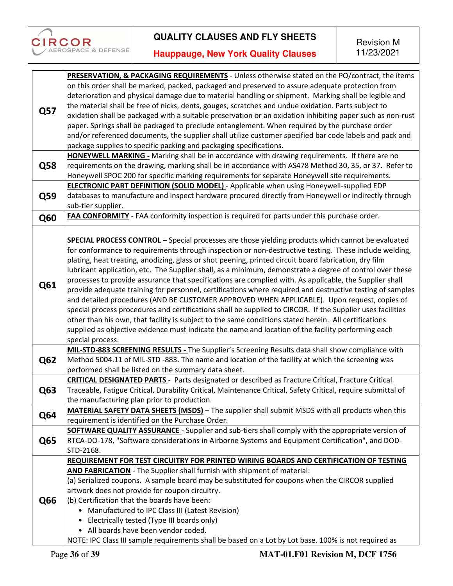

|            | PRESERVATION, & PACKAGING REQUIREMENTS - Unless otherwise stated on the PO/contract, the items                |
|------------|---------------------------------------------------------------------------------------------------------------|
|            |                                                                                                               |
|            | on this order shall be marked, packed, packaged and preserved to assure adequate protection from              |
|            | deterioration and physical damage due to material handling or shipment. Marking shall be legible and          |
| Q57        | the material shall be free of nicks, dents, gouges, scratches and undue oxidation. Parts subject to           |
|            | oxidation shall be packaged with a suitable preservation or an oxidation inhibiting paper such as non-rust    |
|            | paper. Springs shall be packaged to preclude entanglement. When required by the purchase order                |
|            | and/or referenced documents, the supplier shall utilize customer specified bar code labels and pack and       |
|            | package supplies to specific packing and packaging specifications.                                            |
|            | HONEYWELL MARKING - Marking shall be in accordance with drawing requirements. If there are no                 |
|            |                                                                                                               |
| <b>Q58</b> | requirements on the drawing, marking shall be in accordance with AS478 Method 30, 35, or 37. Refer to         |
|            | Honeywell SPOC 200 for specific marking requirements for separate Honeywell site requirements.                |
|            | <b>ELECTRONIC PART DEFINITION (SOLID MODEL)</b> - Applicable when using Honeywell-supplied EDP                |
| <b>Q59</b> | databases to manufacture and inspect hardware procured directly from Honeywell or indirectly through          |
|            | sub-tier supplier.                                                                                            |
| <b>Q60</b> | FAA CONFORMITY - FAA conformity inspection is required for parts under this purchase order.                   |
|            |                                                                                                               |
|            |                                                                                                               |
|            | <b>SPECIAL PROCESS CONTROL</b> - Special processes are those yielding products which cannot be evaluated      |
|            | for conformance to requirements through inspection or non-destructive testing. These include welding,         |
|            | plating, heat treating, anodizing, glass or shot peening, printed circuit board fabrication, dry film         |
|            | lubricant application, etc. The Supplier shall, as a minimum, demonstrate a degree of control over these      |
|            | processes to provide assurance that specifications are complied with. As applicable, the Supplier shall       |
| Q61        | provide adequate training for personnel, certifications where required and destructive testing of samples     |
|            | and detailed procedures (AND BE CUSTOMER APPROVED WHEN APPLICABLE). Upon request, copies of                   |
|            | special process procedures and certifications shall be supplied to CIRCOR. If the Supplier uses facilities    |
|            | other than his own, that facility is subject to the same conditions stated herein. All certifications         |
|            |                                                                                                               |
|            | supplied as objective evidence must indicate the name and location of the facility performing each            |
|            | special process.                                                                                              |
|            | MIL-STD-883 SCREENING RESULTS - The Supplier's Screening Results data shall show compliance with              |
| <b>Q62</b> | Method 5004.11 of MIL-STD -883. The name and location of the facility at which the screening was              |
|            | performed shall be listed on the summary data sheet.                                                          |
|            | <b>CRITICAL DESIGNATED PARTS</b> - Parts designated or described as Fracture Critical, Fracture Critical      |
| Q63        | Traceable, Fatigue Critical, Durability Critical, Maintenance Critical, Safety Critical, require submittal of |
|            | the manufacturing plan prior to production.                                                                   |
| <b>Q64</b> | MATERIAL SAFETY DATA SHEETS (MSDS) - The supplier shall submit MSDS with all products when this               |
|            | requirement is identified on the Purchase Order.                                                              |
|            | <b>SOFTWARE QUALITY ASSURANCE</b> - Supplier and sub-tiers shall comply with the appropriate version of       |
| Q65        | RTCA-DO-178, "Software considerations in Airborne Systems and Equipment Certification", and DOD-              |
|            | STD-2168.                                                                                                     |
|            |                                                                                                               |
|            | REQUIREMENT FOR TEST CIRCUITRY FOR PRINTED WIRING BOARDS AND CERTIFICATION OF TESTING                         |
|            | AND FABRICATION - The Supplier shall furnish with shipment of material:                                       |
|            | (a) Serialized coupons. A sample board may be substituted for coupons when the CIRCOR supplied                |
| Q66        | artwork does not provide for coupon circuitry.                                                                |
|            | (b) Certification that the boards have been:                                                                  |
|            | • Manufactured to IPC Class III (Latest Revision)                                                             |
|            | • Electrically tested (Type III boards only)                                                                  |
|            | • All boards have been vendor coded.                                                                          |
|            | NOTE: IPC Class III sample requirements shall be based on a Lot by Lot base. 100% is not required as          |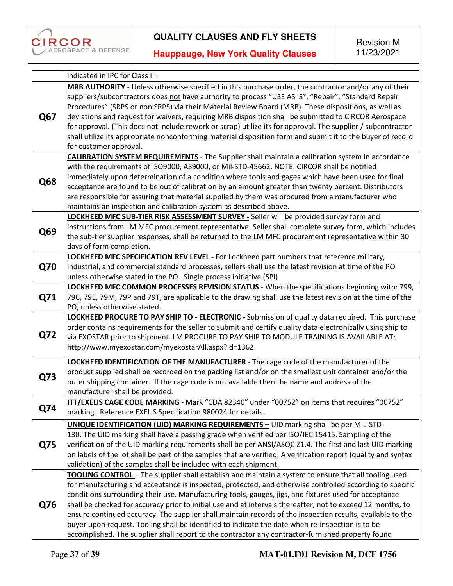

|            | indicated in IPC for Class III.                                                                                |
|------------|----------------------------------------------------------------------------------------------------------------|
|            | MRB AUTHORITY - Unless otherwise specified in this purchase order, the contractor and/or any of their          |
|            | suppliers/subcontractors does not have authority to process "USE AS IS", "Repair", "Standard Repair            |
|            | Procedures" (SRPS or non SRPS) via their Material Review Board (MRB). These dispositions, as well as           |
| Q67        | deviations and request for waivers, requiring MRB disposition shall be submitted to CIRCOR Aerospace           |
|            | for approval. (This does not include rework or scrap) utilize its for approval. The supplier / subcontractor   |
|            | shall utilize its appropriate nonconforming material disposition form and submit it to the buyer of record     |
|            | for customer approval.                                                                                         |
|            | <b>CALIBRATION SYSTEM REQUIREMENTS</b> - The Supplier shall maintain a calibration system in accordance        |
|            | with the requirements of ISO9000, AS9000, or Mil-STD-45662. NOTE: CIRCOR shall be notified                     |
|            | immediately upon determination of a condition where tools and gages which have been used for final             |
| Q68        | acceptance are found to be out of calibration by an amount greater than twenty percent. Distributors           |
|            | are responsible for assuring that material supplied by them was procured from a manufacturer who               |
|            | maintains an inspection and calibration system as described above.                                             |
|            | LOCKHEED MFC SUB-TIER RISK ASSESSMENT SURVEY - Seller will be provided survey form and                         |
|            | instructions from LM MFC procurement representative. Seller shall complete survey form, which includes         |
| Q69        | the sub-tier supplier responses, shall be returned to the LM MFC procurement representative within 30          |
|            | days of form completion.                                                                                       |
|            | <b>LOCKHEED MFC SPECIFICATION REV LEVEL - For Lockheed part numbers that reference military,</b>               |
| <b>Q70</b> | industrial, and commercial standard processes, sellers shall use the latest revision at time of the PO         |
|            | unless otherwise stated in the PO. Single process initiative (SPI)                                             |
|            | LOCKHEED MFC COMMON PROCESSES REVISION STATUS - When the specifications beginning with: 799,                   |
| Q71        | 79C, 79E, 79M, 79P and 79T, are applicable to the drawing shall use the latest revision at the time of the     |
|            | PO, unless otherwise stated.                                                                                   |
|            | LOCKHEED PROCURE TO PAY SHIP TO - ELECTRONIC - Submission of quality data required. This purchase              |
|            | order contains requirements for the seller to submit and certify quality data electronically using ship to     |
| <b>Q72</b> | via EXOSTAR prior to shipment. LM PROCURE TO PAY SHIP TO MODULE TRAINING IS AVAILABLE AT:                      |
|            | http://www.myexostar.com/myexostarAll.aspx?id=1362                                                             |
|            |                                                                                                                |
|            | <b>LOCKHEED IDENTIFICATION OF THE MANUFACTURER</b> - The cage code of the manufacturer of the                  |
| Q73        | product supplied shall be recorded on the packing list and/or on the smallest unit container and/or the        |
|            | outer shipping container. If the cage code is not available then the name and address of the                   |
|            | manufacturer shall be provided.                                                                                |
| Q74        | ITT/EXELIS CAGE CODE MARKING - Mark "CDA 82340" under "00752" on items that requires "00752"                   |
|            | marking. Reference EXELIS Specification 980024 for details.                                                    |
|            | <b>UNIQUE IDENTIFICATION (UID) MARKING REQUIREMENTS - UID marking shall be per MIL-STD-</b>                    |
|            | 130. The UID marking shall have a passing grade when verified per ISO/IEC 15415. Sampling of the               |
| Q75        | verification of the UID marking requirements shall be per ANSI/ASQC Z1.4. The first and last UID marking       |
|            | on labels of the lot shall be part of the samples that are verified. A verification report (quality and syntax |
|            | validation) of the samples shall be included with each shipment.                                               |
|            | TOOLING CONTROL - The supplier shall establish and maintain a system to ensure that all tooling used           |
|            | for manufacturing and acceptance is inspected, protected, and otherwise controlled according to specific       |
| Q76        | conditions surrounding their use. Manufacturing tools, gauges, jigs, and fixtures used for acceptance          |
|            | shall be checked for accuracy prior to initial use and at intervals thereafter, not to exceed 12 months, to    |
|            | ensure continued accuracy. The supplier shall maintain records of the inspection results, available to the     |
|            | buyer upon request. Tooling shall be identified to indicate the date when re-inspection is to be               |
|            | accomplished. The supplier shall report to the contractor any contractor-furnished property found              |
|            |                                                                                                                |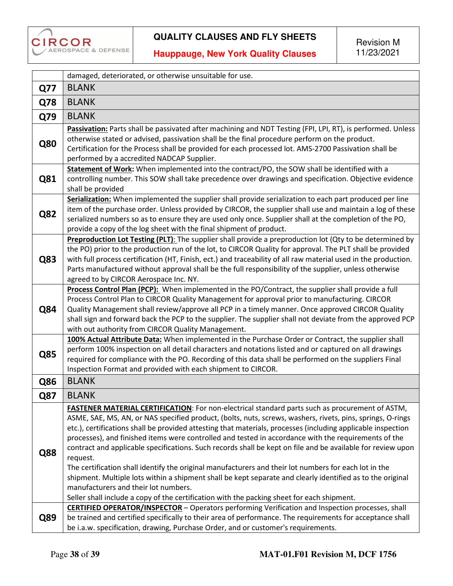

|            | damaged, deteriorated, or otherwise unsuitable for use.                                                                                                                                                                                                                                                                                                                                                                                                                                                                                                                                                                                                                                                                                                                                                                                                                                                                       |
|------------|-------------------------------------------------------------------------------------------------------------------------------------------------------------------------------------------------------------------------------------------------------------------------------------------------------------------------------------------------------------------------------------------------------------------------------------------------------------------------------------------------------------------------------------------------------------------------------------------------------------------------------------------------------------------------------------------------------------------------------------------------------------------------------------------------------------------------------------------------------------------------------------------------------------------------------|
| <b>Q77</b> | <b>BLANK</b>                                                                                                                                                                                                                                                                                                                                                                                                                                                                                                                                                                                                                                                                                                                                                                                                                                                                                                                  |
| Q78        | <b>BLANK</b>                                                                                                                                                                                                                                                                                                                                                                                                                                                                                                                                                                                                                                                                                                                                                                                                                                                                                                                  |
| Q79        | <b>BLANK</b>                                                                                                                                                                                                                                                                                                                                                                                                                                                                                                                                                                                                                                                                                                                                                                                                                                                                                                                  |
| <b>Q80</b> | Passivation: Parts shall be passivated after machining and NDT Testing (FPI, LPI, RT), is performed. Unless<br>otherwise stated or advised, passivation shall be the final procedure perform on the product.<br>Certification for the Process shall be provided for each processed lot. AMS-2700 Passivation shall be<br>performed by a accredited NADCAP Supplier.                                                                                                                                                                                                                                                                                                                                                                                                                                                                                                                                                           |
| Q81        | Statement of Work: When implemented into the contract/PO, the SOW shall be identified with a<br>controlling number. This SOW shall take precedence over drawings and specification. Objective evidence<br>shall be provided                                                                                                                                                                                                                                                                                                                                                                                                                                                                                                                                                                                                                                                                                                   |
| Q82        | Serialization: When implemented the supplier shall provide serialization to each part produced per line<br>item of the purchase order. Unless provided by CIRCOR, the supplier shall use and maintain a log of these<br>serialized numbers so as to ensure they are used only once. Supplier shall at the completion of the PO,<br>provide a copy of the log sheet with the final shipment of product.                                                                                                                                                                                                                                                                                                                                                                                                                                                                                                                        |
| Q83        | Preproduction Lot Testing (PLT): The supplier shall provide a preproduction lot (Qty to be determined by<br>the PO) prior to the production run of the lot, to CIRCOR Quality for approval. The PLT shall be provided<br>with full process certification (HT, Finish, ect.) and traceability of all raw material used in the production.<br>Parts manufactured without approval shall be the full responsibility of the supplier, unless otherwise<br>agreed to by CIRCOR Aerospace Inc. NY.                                                                                                                                                                                                                                                                                                                                                                                                                                  |
| Q84        | Process Control Plan (PCP): When implemented in the PO/Contract, the supplier shall provide a full<br>Process Control Plan to CIRCOR Quality Management for approval prior to manufacturing. CIRCOR<br>Quality Management shall review/approve all PCP in a timely manner. Once approved CIRCOR Quality<br>shall sign and forward back the PCP to the supplier. The supplier shall not deviate from the approved PCP<br>with out authority from CIRCOR Quality Management.                                                                                                                                                                                                                                                                                                                                                                                                                                                    |
| <b>Q85</b> | 100% Actual Attribute Data: When implemented in the Purchase Order or Contract, the supplier shall<br>perform 100% inspection on all detail characters and notations listed and or captured on all drawings<br>required for compliance with the PO. Recording of this data shall be performed on the suppliers Final<br>Inspection Format and provided with each shipment to CIRCOR.                                                                                                                                                                                                                                                                                                                                                                                                                                                                                                                                          |
| Q86        | <b>BLANK</b>                                                                                                                                                                                                                                                                                                                                                                                                                                                                                                                                                                                                                                                                                                                                                                                                                                                                                                                  |
| Q87        | <b>BLANK</b>                                                                                                                                                                                                                                                                                                                                                                                                                                                                                                                                                                                                                                                                                                                                                                                                                                                                                                                  |
| <b>Q88</b> | FASTENER MATERIAL CERTIFICATION: For non-electrical standard parts such as procurement of ASTM,<br>ASME, SAE, MS, AN, or NAS specified product, (bolts, nuts, screws, washers, rivets, pins, springs, O-rings<br>etc.), certifications shall be provided attesting that materials, processes (including applicable inspection<br>processes), and finished items were controlled and tested in accordance with the requirements of the<br>contract and applicable specifications. Such records shall be kept on file and be available for review upon<br>request.<br>The certification shall identify the original manufacturers and their lot numbers for each lot in the<br>shipment. Multiple lots within a shipment shall be kept separate and clearly identified as to the original<br>manufacturers and their lot numbers.<br>Seller shall include a copy of the certification with the packing sheet for each shipment. |
| Q89        | <b>CERTIFIED OPERATOR/INSPECTOR</b> - Operators performing Verification and Inspection processes, shall<br>be trained and certified specifically to their area of performance. The requirements for acceptance shall<br>be i.a.w. specification, drawing, Purchase Order, and or customer's requirements.                                                                                                                                                                                                                                                                                                                                                                                                                                                                                                                                                                                                                     |